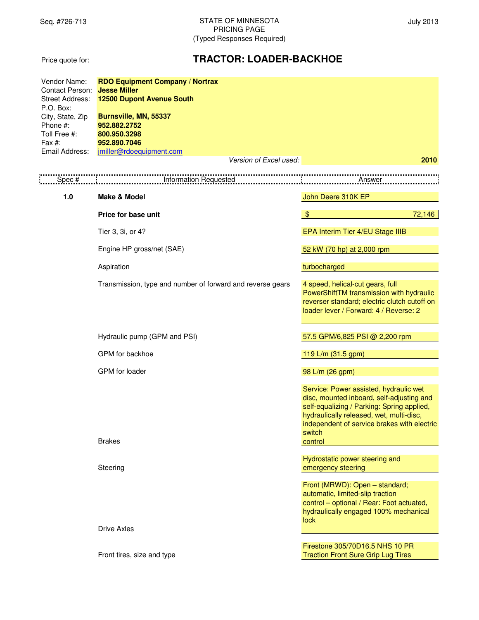Price quote for:

# **TRACTOR: LOADER-BACKHOE**

| Vendor Name:<br>Contact Person: | <b>RDO Equipment Company / Nortrax</b><br><b>Jesse Miller</b> |                                                                                                                                                                                                                                                   |  |  |
|---------------------------------|---------------------------------------------------------------|---------------------------------------------------------------------------------------------------------------------------------------------------------------------------------------------------------------------------------------------------|--|--|
| <b>Street Address:</b>          | 12500 Dupont Avenue South                                     |                                                                                                                                                                                                                                                   |  |  |
| P.O. Box:                       |                                                               |                                                                                                                                                                                                                                                   |  |  |
| City, State, Zip<br>Phone #:    | Burnsville, MN, 55337<br>952.882.2752                         |                                                                                                                                                                                                                                                   |  |  |
| Toll Free #:                    | 800.950.3298                                                  |                                                                                                                                                                                                                                                   |  |  |
| Fax #:                          | 952.890.7046                                                  |                                                                                                                                                                                                                                                   |  |  |
| Email Address:                  | jmiller@rdoequipment.com                                      |                                                                                                                                                                                                                                                   |  |  |
|                                 | Version of Excel used:                                        | 2010                                                                                                                                                                                                                                              |  |  |
| Spec#                           | <b>Information Requested</b>                                  | Answer                                                                                                                                                                                                                                            |  |  |
| 1.0                             | <b>Make &amp; Model</b>                                       | John Deere 310K EP                                                                                                                                                                                                                                |  |  |
|                                 | Price for base unit                                           | $\sqrt[6]{3}$<br>72,146                                                                                                                                                                                                                           |  |  |
|                                 | Tier 3, 3i, or 4?                                             | EPA Interim Tier 4/EU Stage IIIB                                                                                                                                                                                                                  |  |  |
|                                 | Engine HP gross/net (SAE)                                     | 52 kW (70 hp) at 2,000 rpm                                                                                                                                                                                                                        |  |  |
|                                 | Aspiration                                                    | turbocharged                                                                                                                                                                                                                                      |  |  |
|                                 | Transmission, type and number of forward and reverse gears    | 4 speed, helical-cut gears, full<br>PowerShiftTM transmission with hydraulic<br>reverser standard; electric clutch cutoff on<br>loader lever / Forward: 4 / Reverse: 2                                                                            |  |  |
|                                 | Hydraulic pump (GPM and PSI)                                  | 57.5 GPM/6,825 PSI @ 2,200 rpm                                                                                                                                                                                                                    |  |  |
|                                 | GPM for backhoe                                               | 119 L/m (31.5 gpm)                                                                                                                                                                                                                                |  |  |
|                                 | GPM for loader                                                | 98 L/m (26 gpm)                                                                                                                                                                                                                                   |  |  |
|                                 | <b>Brakes</b>                                                 | Service: Power assisted, hydraulic wet<br>disc, mounted inboard, self-adjusting and<br>self-equalizing / Parking: Spring applied,<br>hydraulically released, wet, multi-disc,<br>independent of service brakes with electric<br>switch<br>control |  |  |
|                                 |                                                               | Hydrostatic power steering and                                                                                                                                                                                                                    |  |  |
|                                 | Steering                                                      | emergency steering                                                                                                                                                                                                                                |  |  |
|                                 |                                                               | Front (MRWD): Open - standard;<br>automatic, limited-slip traction<br>control - optional / Rear: Foot actuated,<br>hydraulically engaged 100% mechanical<br><b>lock</b>                                                                           |  |  |
|                                 | <b>Drive Axles</b>                                            |                                                                                                                                                                                                                                                   |  |  |
|                                 | Front tires, size and type                                    | Firestone 305/70D16.5 NHS 10 PR<br><b>Traction Front Sure Grip Lug Tires</b>                                                                                                                                                                      |  |  |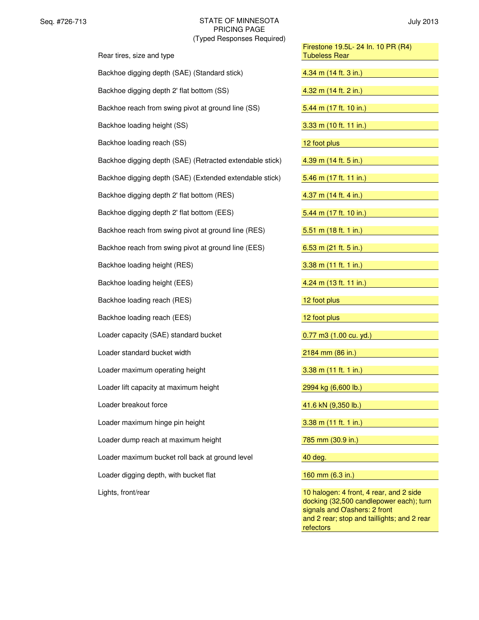| Rear tires, size and type                                | Firestone 19.5L- 24 In. 10 PR (R4)<br><b>Tubeless Rear</b>                       |
|----------------------------------------------------------|----------------------------------------------------------------------------------|
| Backhoe digging depth (SAE) (Standard stick)             | 4.34 m (14 ft. 3 in.)                                                            |
| Backhoe digging depth 2' flat bottom (SS)                | 4.32 m (14 ft. 2 in.)                                                            |
| Backhoe reach from swing pivot at ground line (SS)       | 5.44 m $(17 ft. 10 in.)$                                                         |
| Backhoe loading height (SS)                              | 3.33 m (10 ft. 11 in.)                                                           |
| Backhoe loading reach (SS)                               | 12 foot plus                                                                     |
| Backhoe digging depth (SAE) (Retracted extendable stick) | 4.39 m (14 ft. 5 in.)                                                            |
| Backhoe digging depth (SAE) (Extended extendable stick)  | 5.46 m (17 ft. 11 in.)                                                           |
| Backhoe digging depth 2' flat bottom (RES)               | 4.37 m $(14 ft. 4 in.)$                                                          |
| Backhoe digging depth 2' flat bottom (EES)               | 5.44 m (17 ft. 10 in.)                                                           |
| Backhoe reach from swing pivot at ground line (RES)      | 5.51 m $(18 ft. 1 in.)$                                                          |
| Backhoe reach from swing pivot at ground line (EES)      | 6.53 m (21 ft. 5 in.)                                                            |
| Backhoe loading height (RES)                             | $3.38$ m $(11$ ft. 1 in.)                                                        |
| Backhoe loading height (EES)                             | 4.24 m (13 ft. 11 in.)                                                           |
| Backhoe loading reach (RES)                              | 12 foot plus                                                                     |
| Backhoe loading reach (EES)                              | 12 foot plus                                                                     |
| Loader capacity (SAE) standard bucket                    | 0.77 m3 (1.00 cu. yd.)                                                           |
| Loader standard bucket width                             | 2184 mm (86 in.)                                                                 |
| Loader maximum operating height                          | $3.38$ m $(11$ ft. 1 in.)                                                        |
| Loader lift capacity at maximum height                   | 2994 kg (6,600 lb.)                                                              |
| Loader breakout force                                    | 41.6 kN (9,350 lb.)                                                              |
| Loader maximum hinge pin height                          | 3.38 m (11 ft. 1 in.)                                                            |
| Loader dump reach at maximum height                      | 785 mm (30.9 in.)                                                                |
| Loader maximum bucket roll back at ground level          | 40 deg.                                                                          |
| Loader digging depth, with bucket flat                   | 160 mm (6.3 in.)                                                                 |
| Lights, front/rear                                       | 10 halogen: 4 front, 4 rear, and 2 side<br>docking (32,500 candlenower each): tu |

| Firestone 19.5L- 24 In. 10 PR (R4)<br><b>Tubeless Rear</b>                         |
|------------------------------------------------------------------------------------|
| 4.34 m (14 ft. 3 in.)                                                              |
| 4.32 m (14 ft. 2 in.)                                                              |
| 5.44 m $(17 ft. 10 in.)$                                                           |
|                                                                                    |
| 3.33 m (10 ft. 11 in.)                                                             |
| 12 foot plus                                                                       |
| 4.39 m (14 ft. 5 in.)                                                              |
| 5.46 m $(17 ft. 11 in.)$                                                           |
| $4.37 \text{ m}$ (14 ft. 4 in.)                                                    |
|                                                                                    |
| 5.44 m (17 ft. 10 in.)                                                             |
| 5.51 m $(18 ft. 1 in.)$                                                            |
| 6.53 m $(21 \text{ ft. } 5 \text{ in.})$                                           |
| $3.38$ m $(11$ ft. 1 in.)                                                          |
| 4.24 m (13 ft. 11 in.)                                                             |
| 12 foot plus                                                                       |
| 12 foot plus                                                                       |
| $0.77$ m $3(1.00 \text{ cu. yd.})$                                                 |
| 2184 mm (86 in.)                                                                   |
| $3.38$ m (11 ft. 1 in.)                                                            |
|                                                                                    |
| 2994 kg (6,600 lb.)                                                                |
| 41.6 kN (9,350 lb.)                                                                |
| 3.38 m (11 ft. 1 in.)                                                              |
| 785 mm (30.9 in.)                                                                  |
| 40 deg.                                                                            |
| 160 mm (6.3 in.)                                                                   |
|                                                                                    |
| 10 halogen: 4 front, 4 rear, and 2 side<br>docking (32.500 candlepower each); turn |

docking (32,500 candlepower each); turn signals and *O'ashers*: 2 front and 2 rear; stop and taillights; and 2 rear **refectors**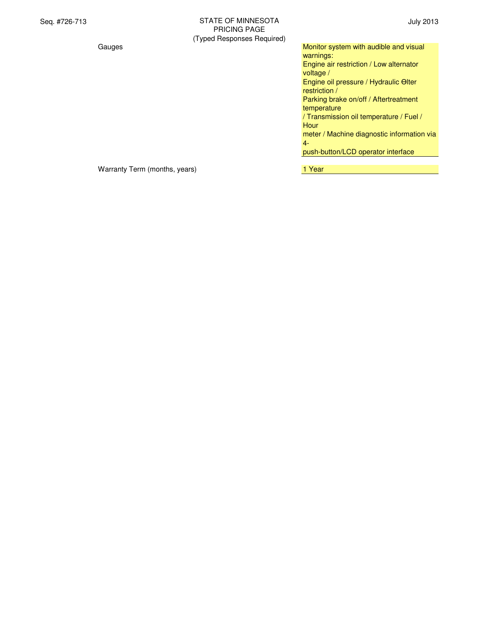Gauges **Monitor system with audible and visual** Monitor system with audible and visual warnings: Engine air restriction / Low alternator voltage / Engine oil pressure / Hydraulic Olter restriction / Parking brake on/off / Aftertreatment temperature / Transmission oil temperature / Fuel / Hour meter / Machine diagnostic information via 4 push-button/LCD operator interface

Warranty Term (months, years) Market Controller Market Market Market Market Market Market Market Market Market M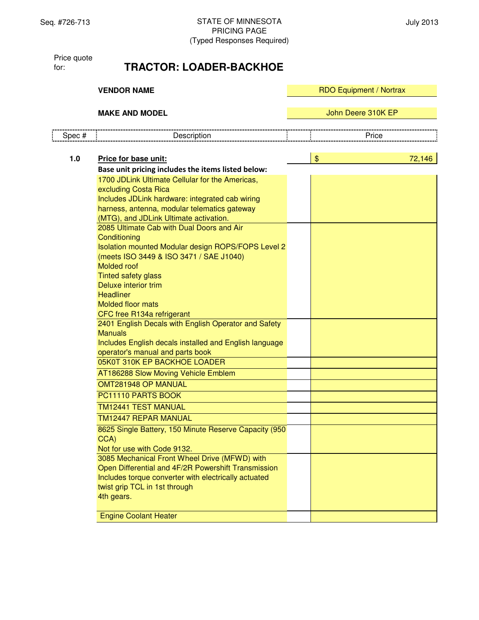Price quote for:

# **TRACTOR: LOADER-BACKHOE**

|        | <b>VENDOR NAME</b>                                                                                                                                                                                                                                                                                                   | <b>RDO Equipment / Nortrax</b> |        |
|--------|----------------------------------------------------------------------------------------------------------------------------------------------------------------------------------------------------------------------------------------------------------------------------------------------------------------------|--------------------------------|--------|
|        | <b>MAKE AND MODEL</b>                                                                                                                                                                                                                                                                                                | John Deere 310K EP             |        |
| Spec # | Description                                                                                                                                                                                                                                                                                                          | Price                          |        |
| $1.0$  | Price for base unit:                                                                                                                                                                                                                                                                                                 | $\frac{1}{2}$                  | 72,146 |
|        | Base unit pricing includes the items listed below:                                                                                                                                                                                                                                                                   |                                |        |
|        | 1700 JDLink Ultimate Cellular for the Americas,<br>excluding Costa Rica<br>Includes JDLink hardware: integrated cab wiring<br>harness, antenna, modular telematics gateway<br>(MTG), and JDLink Ultimate activation.                                                                                                 |                                |        |
|        | 2085 Ultimate Cab with Dual Doors and Air<br>Conditioning<br>Isolation mounted Modular design ROPS/FOPS Level 2<br>(meets ISO 3449 & ISO 3471 / SAE J1040)<br><b>Molded roof</b><br><b>Tinted safety glass</b><br>Deluxe interior trim<br><b>Headliner</b><br><b>Molded floor mats</b><br>CFC free R134a refrigerant |                                |        |
|        | 2401 English Decals with English Operator and Safety<br><b>Manuals</b><br>Includes English decals installed and English language<br>operator's manual and parts book                                                                                                                                                 |                                |        |
|        | 05K0T 310K EP BACKHOE LOADER                                                                                                                                                                                                                                                                                         |                                |        |
|        | AT186288 Slow Moving Vehicle Emblem<br>OMT281948 OP MANUAL                                                                                                                                                                                                                                                           |                                |        |
|        | PC11110 PARTS BOOK                                                                                                                                                                                                                                                                                                   |                                |        |
|        | <b>TM12441 TEST MANUAL</b>                                                                                                                                                                                                                                                                                           |                                |        |
|        | <b>TM12447 REPAR MANUAL</b>                                                                                                                                                                                                                                                                                          |                                |        |
|        | 8625 Single Battery, 150 Minute Reserve Capacity (950<br>CCA)<br>Not for use with Code 9132.                                                                                                                                                                                                                         |                                |        |
|        | 3085 Mechanical Front Wheel Drive (MFWD) with<br>Open Differential and 4F/2R Powershift Transmission<br>Includes torque converter with electrically actuated<br>twist grip TCL in 1st through<br>4th gears.                                                                                                          |                                |        |
|        | <b>Engine Coolant Heater</b>                                                                                                                                                                                                                                                                                         |                                |        |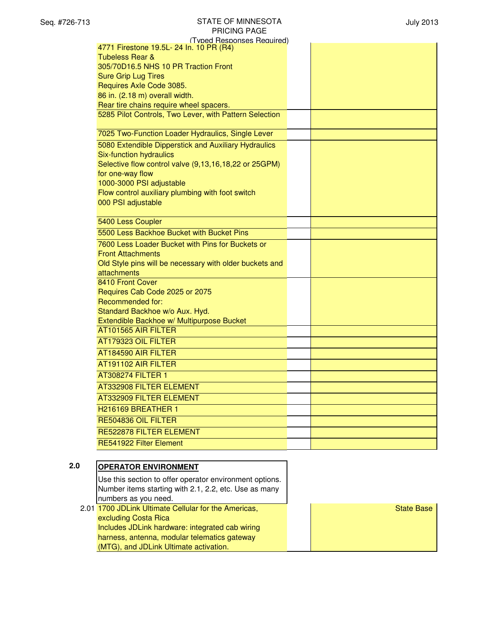| (Typed Responses Required)                              |  |
|---------------------------------------------------------|--|
| 4771 Firestone 19.5L- 24 In. 10 PR (R4)                 |  |
| <b>Tubeless Rear &amp;</b>                              |  |
| 305/70D16.5 NHS 10 PR Traction Front                    |  |
| <b>Sure Grip Lug Tires</b>                              |  |
| Requires Axle Code 3085.                                |  |
| 86 in. (2.18 m) overall width.                          |  |
| Rear tire chains require wheel spacers.                 |  |
| 5285 Pilot Controls, Two Lever, with Pattern Selection  |  |
| 7025 Two-Function Loader Hydraulics, Single Lever       |  |
| 5080 Extendible Dipperstick and Auxiliary Hydraulics    |  |
| Six-function hydraulics                                 |  |
| Selective flow control valve (9,13,16,18,22 or 25GPM)   |  |
| for one-way flow                                        |  |
| 1000-3000 PSI adjustable                                |  |
| Flow control auxiliary plumbing with foot switch        |  |
| 000 PSI adjustable                                      |  |
| 5400 Less Coupler                                       |  |
| 5500 Less Backhoe Bucket with Bucket Pins               |  |
| 7600 Less Loader Bucket with Pins for Buckets or        |  |
| <b>Front Attachments</b>                                |  |
| Old Style pins will be necessary with older buckets and |  |
| attachments                                             |  |
| 8410 Front Cover                                        |  |
| Requires Cab Code 2025 or 2075                          |  |
| Recommended for:                                        |  |
| Standard Backhoe w/o Aux. Hyd.                          |  |
| Extendible Backhoe w/ Multipurpose Bucket               |  |
| AT101565 AIR FILTER                                     |  |
| AT179323 OIL FILTER                                     |  |
| AT184590 AIR FILTER                                     |  |
| AT191102 AIR FILTER                                     |  |
| <b>AT308274 FILTER 1</b>                                |  |
| <b>AT332908 FILTER ELEMENT</b>                          |  |
| AT332909 FILTER ELEMENT                                 |  |
| H <sub>216169</sub> BREATHER 1                          |  |
| RE504836 OIL FILTER                                     |  |
| RE522878 FILTER ELEMENT                                 |  |
| RE541922 Filter Element                                 |  |
|                                                         |  |

#### **2.0 OPERATOR ENVIRONMENT** Use this section to offer operator environment options. Number items starting with 2.1, 2.2, etc. Use as many numbers as you need. 2.01 1700 JDLink Ultimate Cellular for the Americas, excluding Costa Rica Includes JDLink hardware: integrated cab wiring harness, antenna, modular telematics gateway (MTG), and JDLink Ultimate activation. State Base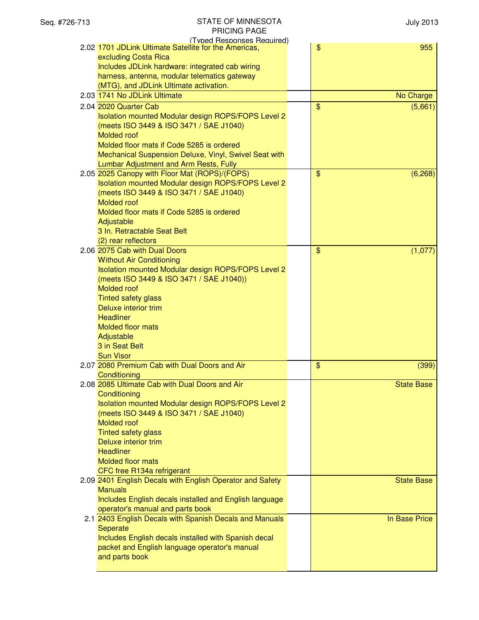| (Typed Responses Required)                                |                                      |
|-----------------------------------------------------------|--------------------------------------|
| 2.02 1701 JDLink Ultimate Satellite for the Americas,     | $\frac{1}{2}$<br>955                 |
| excluding Costa Rica                                      |                                      |
| Includes JDLink hardware: integrated cab wiring           |                                      |
| harness, antenna, modular telematics gateway              |                                      |
| (MTG), and JDLink Ultimate activation.                    |                                      |
|                                                           |                                      |
| 2.03 1741 No JDLink Ultimate                              | No Charge                            |
| 2.04 2020 Quarter Cab                                     | $\mathfrak{F}$<br>(5,661)            |
| Isolation mounted Modular design ROPS/FOPS Level 2        |                                      |
| (meets ISO 3449 & ISO 3471 / SAE J1040)                   |                                      |
| Molded roof                                               |                                      |
| Molded floor mats if Code 5285 is ordered                 |                                      |
| Mechanical Suspension Deluxe, Vinyl, Swivel Seat with     |                                      |
| Lumbar Adjustment and Arm Rests, Fully                    |                                      |
|                                                           |                                      |
| 2.05 2025 Canopy with Floor Mat (ROPS)/(FOPS)             | $\mathfrak{S}$<br>(6, 268)           |
| Isolation mounted Modular design ROPS/FOPS Level 2        |                                      |
| (meets ISO 3449 & ISO 3471 / SAE J1040)                   |                                      |
| <b>Molded</b> roof                                        |                                      |
| Molded floor mats if Code 5285 is ordered                 |                                      |
| Adjustable                                                |                                      |
| 3 In. Retractable Seat Belt                               |                                      |
| (2) rear reflectors                                       |                                      |
| 2.06 2075 Cab with Dual Doors                             | $\boldsymbol{\mathsf{S}}$<br>(1,077) |
| <b>Without Air Conditioning</b>                           |                                      |
|                                                           |                                      |
| Isolation mounted Modular design ROPS/FOPS Level 2        |                                      |
| (meets ISO 3449 & ISO 3471 / SAE J1040))                  |                                      |
| Molded roof                                               |                                      |
| <b>Tinted safety glass</b>                                |                                      |
| Deluxe interior trim                                      |                                      |
| <b>Headliner</b>                                          |                                      |
| <b>Molded floor mats</b>                                  |                                      |
| Adjustable                                                |                                      |
| 3 in Seat Belt                                            |                                      |
| <b>Sun Visor</b>                                          |                                      |
| 2.07 2080 Premium Cab with Dual Doors and Air             | \$<br>(399)                          |
|                                                           |                                      |
| Conditioning                                              |                                      |
| 2.08 2085 Ultimate Cab with Dual Doors and Air            | <b>State Base</b>                    |
| Conditioning                                              |                                      |
| Isolation mounted Modular design ROPS/FOPS Level 2        |                                      |
| (meets ISO 3449 & ISO 3471 / SAE J1040)                   |                                      |
| <b>Molded roof</b>                                        |                                      |
| <b>Tinted safety glass</b>                                |                                      |
| Deluxe interior trim                                      |                                      |
| <b>Headliner</b>                                          |                                      |
| <b>Molded floor mats</b>                                  |                                      |
| CFC free R134a refrigerant                                |                                      |
|                                                           |                                      |
| 2.09 2401 English Decals with English Operator and Safety | <b>State Base</b>                    |
| <b>Manuals</b>                                            |                                      |
| Includes English decals installed and English language    |                                      |
| operator's manual and parts book                          |                                      |
| 2.1 2403 English Decals with Spanish Decals and Manuals   | In Base Price                        |
| Seperate                                                  |                                      |
| Includes English decals installed with Spanish decal      |                                      |
| packet and English language operator's manual             |                                      |
| and parts book                                            |                                      |
|                                                           |                                      |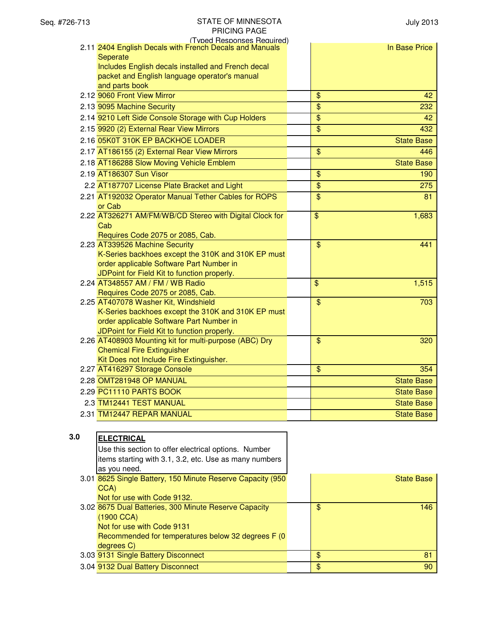| (Typed Responses Required)                              |                                  |
|---------------------------------------------------------|----------------------------------|
| 2.11 2404 English Decals with French Decals and Manuals | In Base Price                    |
| Seperate                                                |                                  |
| Includes English decals installed and French decal      |                                  |
| packet and English language operator's manual           |                                  |
| and parts book                                          |                                  |
| 2.12 9060 Front View Mirror                             | $\mathfrak{S}$<br>42             |
| 2.13 9095 Machine Security                              | $\overline{\mathcal{S}}$<br>232  |
| 2.14 9210 Left Side Console Storage with Cup Holders    | $\mathfrak{S}$<br>42             |
| 2.15 9920 (2) External Rear View Mirrors                | \$<br>432                        |
| 2.16 05K0T 310K EP BACKHOE LOADER                       | <b>State Base</b>                |
| 2.17 AT186155 (2) External Rear View Mirrors            | $\overline{\mathcal{S}}$<br>446  |
| 2.18 AT186288 Slow Moving Vehicle Emblem                | <b>State Base</b>                |
| 2.19 AT186307 Sun Visor                                 | $\frac{1}{2}$<br>190             |
| 2.2 AT187707 License Plate Bracket and Light            | $\frac{1}{2}$<br>275             |
| 2.21 AT192032 Operator Manual Tether Cables for ROPS    | $\overline{\mathcal{S}}$<br>81   |
| or Cab                                                  |                                  |
| 2.22 AT326271 AM/FM/WB/CD Stereo with Digital Clock for | $\overline{\mathbf{S}}$<br>1,683 |
| Cab                                                     |                                  |
| Requires Code 2075 or 2085, Cab.                        |                                  |
| 2.23 AT339526 Machine Security                          | $\mathfrak{S}$<br>441            |
| K-Series backhoes except the 310K and 310K EP must      |                                  |
| order applicable Software Part Number in                |                                  |
| JDPoint for Field Kit to function properly.             |                                  |
| 2.24 AT348557 AM / FM / WB Radio                        | \$<br>1,515                      |
| Requires Code 2075 or 2085, Cab.                        |                                  |
| 2.25 AT407078 Washer Kit, Windshield                    | $\mathfrak{S}$<br>703            |
| K-Series backhoes except the 310K and 310K EP must      |                                  |
| order applicable Software Part Number in                |                                  |
| JDPoint for Field Kit to function properly.             |                                  |
| 2.26 AT408903 Mounting kit for multi-purpose (ABC) Dry  | $\overline{\mathcal{S}}$<br>320  |
| <b>Chemical Fire Extinguisher</b>                       |                                  |
| Kit Does not Include Fire Extinguisher.                 |                                  |
| 2.27 AT416297 Storage Console                           | \$<br>354                        |
| 2.28 OMT281948 OP MANUAL                                | <b>State Base</b>                |
| 2.29 PC11110 PARTS BOOK                                 | <b>State Base</b>                |
| 2.3 TM12441 TEST MANUAL                                 | <b>State Base</b>                |
| 2.31 TM12447 REPAR MANUAL                               | <b>State Base</b>                |
|                                                         |                                  |
|                                                         |                                  |

| <b>ELECTRICAL</b>                                          |                                                    |                |            |
|------------------------------------------------------------|----------------------------------------------------|----------------|------------|
| Use this section to offer electrical options. Number       |                                                    |                |            |
| items starting with 3.1, 3.2, etc. Use as many numbers     |                                                    |                |            |
| as you need.                                               |                                                    |                |            |
| 3.01 8625 Single Battery, 150 Minute Reserve Capacity (950 |                                                    |                | State Base |
| CCA)                                                       |                                                    |                |            |
| Not for use with Code 9132.                                |                                                    |                |            |
| 3.02 8675 Dual Batteries, 300 Minute Reserve Capacity      |                                                    | \$             | 146        |
| (1900 CCA)                                                 |                                                    |                |            |
| Not for use with Code 9131                                 |                                                    |                |            |
|                                                            |                                                    |                |            |
| degrees C)                                                 |                                                    |                |            |
| 3.03 9131 Single Battery Disconnect                        |                                                    | \$             | 81         |
| 3.04 9132 Dual Battery Disconnect                          |                                                    | $\mathfrak{F}$ | 90         |
|                                                            | Recommended for temperatures below 32 degrees F (0 |                |            |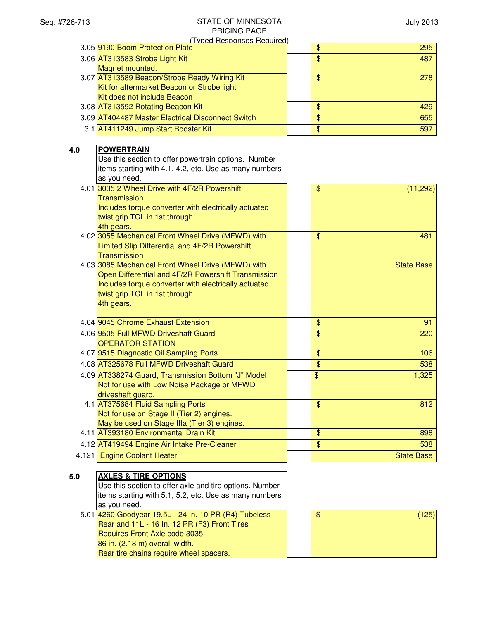| (Tyned Responses Required)      |  |     |
|---------------------------------|--|-----|
| 3.05 9190 Boom Protection Plate |  | 295 |
| 3.06 AT313583 Strobe Light Kit  |  | 487 |

| 3.06 AT313583 Strobe Light Kit                    | \$<br>487 |
|---------------------------------------------------|-----------|
| Magnet mounted.                                   |           |
| 3.07 AT313589 Beacon/Strobe Ready Wiring Kit      | 278<br>\$ |
| Kit for aftermarket Beacon or Strobe light        |           |
| Kit does not include Beacon                       |           |
| 3.08 AT313592 Rotating Beacon Kit                 | \$<br>429 |
| 3.09 AT404487 Master Electrical Disconnect Switch | 655<br>\$ |
| 3.1 AT411249 Jump Start Booster Kit               | 597<br>\$ |

| 4.0 | <b>POWERTRAIN</b>                                      |                        |  |
|-----|--------------------------------------------------------|------------------------|--|
|     | Use this section to offer powertrain options. Number   |                        |  |
|     | items starting with 4.1, 4.2, etc. Use as many numbers |                        |  |
|     | as you need.                                           |                        |  |
|     | 4.01 3035 2 Wheel Drive with 4F/2R Powershift          | \$<br>(11, 292)        |  |
|     | <b>Transmission</b>                                    |                        |  |
|     | Includes torque converter with electrically actuated   |                        |  |
|     | twist grip TCL in 1st through                          |                        |  |
|     | 4th gears.                                             |                        |  |
|     | 4.02 3055 Mechanical Front Wheel Drive (MFWD) with     | \$<br>481              |  |
|     | Limited Slip Differential and 4F/2R Powershift         |                        |  |
|     | Transmission                                           |                        |  |
|     | 4.03 3085 Mechanical Front Wheel Drive (MFWD) with     | <b>State Base</b>      |  |
|     | Open Differential and 4F/2R Powershift Transmission    |                        |  |
|     | Includes torque converter with electrically actuated   |                        |  |
|     | twist grip TCL in 1st through                          |                        |  |
|     | 4th gears.                                             |                        |  |
|     | 4.04 9045 Chrome Exhaust Extension                     | $\frac{1}{2}$<br>91    |  |
|     | 4.06 9505 Full MFWD Driveshaft Guard                   | \$<br>220              |  |
|     | <b>OPERATOR STATION</b>                                |                        |  |
|     | 4.07 9515 Diagnostic Oil Sampling Ports                | \$<br>106              |  |
|     | 4.08 AT325678 Full MFWD Driveshaft Guard               | $\overline{\$}$<br>538 |  |
|     | 4.09 AT338274 Guard, Transmission Bottom "J" Model     | \$<br>1,325            |  |
|     | Not for use with Low Noise Package or MFWD             |                        |  |
|     | driveshaft guard.                                      |                        |  |
|     | 4.1 AT375684 Fluid Sampling Ports                      | $\frac{1}{2}$<br>812   |  |
|     | Not for use on Stage II (Tier 2) engines.              |                        |  |
|     | May be used on Stage IIIa (Tier 3) engines.            |                        |  |
|     | 4.11 AT393180 Environmental Drain Kit                  | \$<br>898              |  |
|     | 4.12 AT419494 Engine Air Intake Pre-Cleaner            | \$<br>538              |  |
|     | 4.121 Engine Coolant Heater                            | <b>State Base</b>      |  |
|     |                                                        |                        |  |
|     |                                                        |                        |  |

| 5.0 | <b>AXLES &amp; TIRE OPTIONS</b>                         |    |  |
|-----|---------------------------------------------------------|----|--|
|     | Use this section to offer axle and tire options. Number |    |  |
|     | litems starting with 5.1, 5.2, etc. Use as many numbers |    |  |
|     | as you need.                                            |    |  |
|     | 5.01 4260 Goodyear 19.5L - 24 In. 10 PR (R4) Tubeless   | \$ |  |
|     | Rear and 11L - 16 In. 12 PR (F3) Front Tires            |    |  |
|     | Requires Front Axle code 3035.                          |    |  |
|     | 86 in. (2.18 m) overall width.                          |    |  |
|     |                                                         |    |  |

Rear tire chains require wheel spacers.

 $(125)$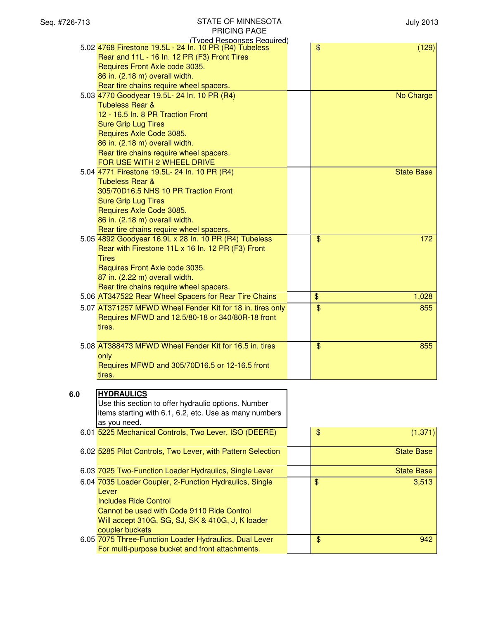| Seq. #726-713 | STATE OF MINNESOTA<br><b>PRICING PAGE</b>                                            | <b>July 2013</b>       |
|---------------|--------------------------------------------------------------------------------------|------------------------|
|               | (Typed Responses Required)<br>5.02 4768 Firestone 19.5L - 24 In. 10 PR (R4) Tubeless | \$<br>(129)            |
|               | Rear and 11L - 16 In. 12 PR (F3) Front Tires                                         |                        |
|               | Requires Front Axle code 3035.                                                       |                        |
|               | 86 in. (2.18 m) overall width.                                                       |                        |
|               | Rear tire chains require wheel spacers.                                              |                        |
|               | 5.03 4770 Goodyear 19.5L- 24 In. 10 PR (R4)                                          | No Charge              |
|               | <b>Tubeless Rear &amp;</b>                                                           |                        |
|               | 12 - 16.5 In. 8 PR Traction Front                                                    |                        |
|               | <b>Sure Grip Lug Tires</b>                                                           |                        |
|               | Requires Axle Code 3085.                                                             |                        |
|               | 86 in. (2.18 m) overall width.                                                       |                        |
|               | Rear tire chains require wheel spacers.                                              |                        |
|               | FOR USE WITH 2 WHEEL DRIVE                                                           |                        |
|               | 5.04 4771 Firestone 19.5L- 24 In. 10 PR (R4)                                         | <b>State Base</b>      |
|               | <b>Tubeless Rear &amp;</b><br>305/70D16.5 NHS 10 PR Traction Front                   |                        |
|               | <b>Sure Grip Lug Tires</b>                                                           |                        |
|               | Requires Axle Code 3085.                                                             |                        |
|               | 86 in. (2.18 m) overall width.                                                       |                        |
|               | Rear tire chains require wheel spacers.                                              |                        |
|               | 5.05 4892 Goodyear 16.9L x 28 In. 10 PR (R4) Tubeless                                | $\frac{1}{2}$<br>172   |
|               | Rear with Firestone 11L x 16 In. 12 PR (F3) Front                                    |                        |
|               | <b>Tires</b>                                                                         |                        |
|               | Requires Front Axle code 3035.                                                       |                        |
|               | 87 in. (2.22 m) overall width.                                                       |                        |
|               | Rear tire chains require wheel spacers.                                              |                        |
|               | 5.06 AT347522 Rear Wheel Spacers for Rear Tire Chains                                | $\frac{1}{2}$<br>1,028 |
|               | 5.07 AT371257 MFWD Wheel Fender Kit for 18 in. tires only                            | \$<br>855              |
|               | Requires MFWD and 12.5/80-18 or 340/80R-18 front                                     |                        |
|               | tires.                                                                               |                        |
|               |                                                                                      |                        |
|               | 5.08 AT388473 MFWD Wheel Fender Kit for 16.5 in. tires                               | $\frac{1}{2}$<br>855   |
|               | only                                                                                 |                        |
|               | Requires MFWD and 305/70D16.5 or 12-16.5 front                                       |                        |
|               | tires.                                                                               |                        |
|               |                                                                                      |                        |
| 6.0           | <b>HYDRAULICS</b>                                                                    |                        |
|               | Use this section to offer hydraulic options. Number                                  |                        |
|               | items starting with 6.1, 6.2, etc. Use as many numbers                               |                        |
|               | as you need.                                                                         |                        |
|               | 6.01 5225 Mechanical Controls, Two Lever, ISO (DEERE)                                | \$<br>(1, 371)         |
|               |                                                                                      |                        |
|               | 6.02 5285 Pilot Controls, Two Lever, with Pattern Selection                          | <b>State Base</b>      |
|               |                                                                                      |                        |
|               | 6.03 7025 Two-Function Loader Hydraulics, Single Lever                               | <b>State Base</b>      |
|               | 6.04 7035 Loader Coupler, 2-Function Hydraulics, Single                              | $\$\$<br>3,513         |
|               | Lever                                                                                |                        |
|               | <b>Includes Ride Control</b>                                                         |                        |
|               | Cannot be used with Code 9110 Ride Control                                           |                        |
|               | Will accept 310G, SG, SJ, SK & 410G, J, K loader                                     |                        |
|               | coupler buckets                                                                      |                        |
|               | 6.05 7075 Three-Function Loader Hydraulics, Dual Lever                               | $\$\$<br>942           |
|               | For multi-purpose bucket and front attachments.                                      |                        |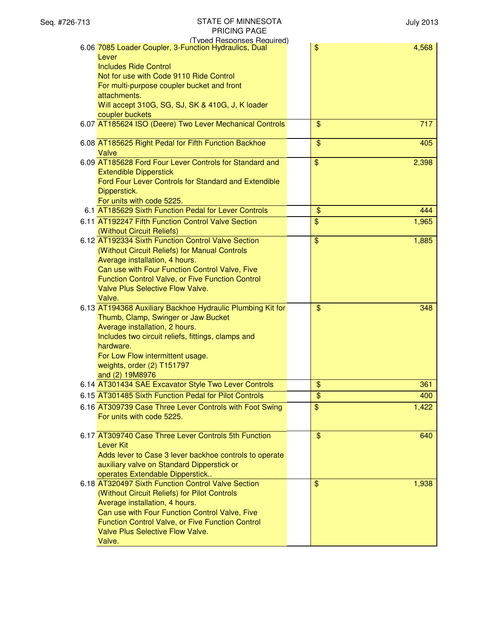| (Typed Responses Required)                                                                           |                          |       |
|------------------------------------------------------------------------------------------------------|--------------------------|-------|
| 6.06 7085 Loader Coupler, 3-Function Hydraulics, Dual<br>Lever                                       | $\frac{1}{2}$            | 4,568 |
| <b>Includes Ride Control</b>                                                                         |                          |       |
| Not for use with Code 9110 Ride Control                                                              |                          |       |
| For multi-purpose coupler bucket and front                                                           |                          |       |
| attachments.                                                                                         |                          |       |
| Will accept 310G, SG, SJ, SK & 410G, J, K loader                                                     |                          |       |
| coupler buckets                                                                                      |                          |       |
| 6.07 AT185624 ISO (Deere) Two Lever Mechanical Controls                                              | $\mathfrak{S}$           | 717   |
| 6.08 AT185625 Right Pedal for Fifth Function Backhoe                                                 | \$                       | 405   |
| Valve                                                                                                |                          |       |
| 6.09 AT185628 Ford Four Lever Controls for Standard and                                              | $\frac{1}{2}$            | 2,398 |
| <b>Extendible Dipperstick</b>                                                                        |                          |       |
| Ford Four Lever Controls for Standard and Extendible                                                 |                          |       |
| Dipperstick.                                                                                         |                          |       |
| For units with code 5225.                                                                            |                          |       |
| 6.1 AT185629 Sixth Function Pedal for Lever Controls                                                 | \$                       | 444   |
| 6.11 AT192247 Fifth Function Control Valve Section                                                   | \$                       | 1,965 |
| (Without Circuit Reliefs)                                                                            |                          |       |
| 6.12 AT192334 Sixth Function Control Valve Section                                                   | $\frac{1}{2}$            | 1,885 |
| (Without Circuit Reliefs) for Manual Controls<br>Average installation, 4 hours.                      |                          |       |
| Can use with Four Function Control Valve, Five                                                       |                          |       |
| <b>Function Control Valve, or Five Function Control</b>                                              |                          |       |
| <b>Valve Plus Selective Flow Valve.</b>                                                              |                          |       |
| Valve.                                                                                               |                          |       |
| 6.13 AT194368 Auxiliary Backhoe Hydraulic Plumbing Kit for                                           | \$                       | 348   |
| Thumb, Clamp, Swinger or Jaw Bucket                                                                  |                          |       |
| Average installation, 2 hours.                                                                       |                          |       |
| Includes two circuit reliefs, fittings, clamps and<br>hardware.                                      |                          |       |
| For Low Flow intermittent usage.                                                                     |                          |       |
| weights, order (2) T151797                                                                           |                          |       |
| and (2) 19M8976                                                                                      |                          |       |
| 6.14 AT301434 SAE Excavator Style Two Lever Controls                                                 | $\overline{\mathcal{L}}$ | 361   |
| 6.15 AT301485 Sixth Function Pedal for Pilot Controls                                                | \$                       | 400   |
| 6.16 AT309739 Case Three Lever Controls with Foot Swing                                              | $\frac{1}{2}$            | 1,422 |
| For units with code 5225.                                                                            |                          |       |
|                                                                                                      |                          |       |
| 6.17 AT309740 Case Three Lever Controls 5th Function                                                 | $\mathfrak{S}$           | 640   |
| <b>Lever Kit</b>                                                                                     |                          |       |
| Adds lever to Case 3 lever backhoe controls to operate<br>auxiliary valve on Standard Dipperstick or |                          |       |
| operates Extendable Dipperstick                                                                      |                          |       |
| 6.18 AT320497 Sixth Function Control Valve Section                                                   | $\mathfrak{S}$           | 1,938 |
| (Without Circuit Reliefs) for Pilot Controls                                                         |                          |       |
| Average installation, 4 hours.                                                                       |                          |       |
| Can use with Four Function Control Valve, Five                                                       |                          |       |
| Function Control Valve, or Five Function Control                                                     |                          |       |
| <b>Valve Plus Selective Flow Valve.</b>                                                              |                          |       |
| Valve.                                                                                               |                          |       |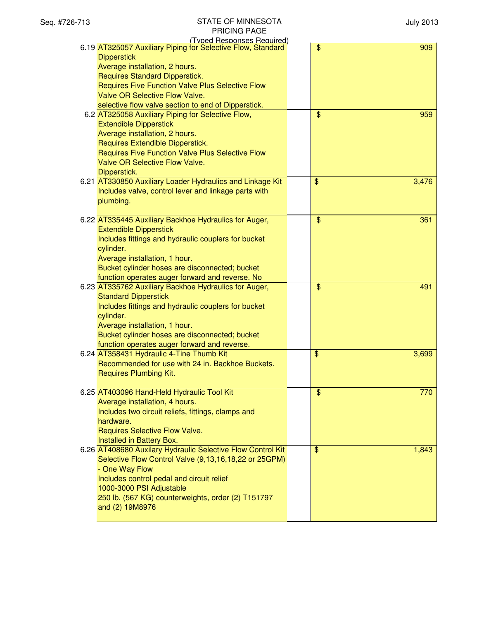| (Typed Responses Required)                                                         |                       |
|------------------------------------------------------------------------------------|-----------------------|
| 6.19 AT325057 Auxiliary Piping for Selective Flow, Standard                        | \$<br>909             |
| <b>Dipperstick</b>                                                                 |                       |
| Average installation, 2 hours.                                                     |                       |
| <b>Requires Standard Dipperstick.</b>                                              |                       |
| Requires Five Function Valve Plus Selective Flow                                   |                       |
| <b>Valve OR Selective Flow Valve.</b>                                              |                       |
| selective flow valve section to end of Dipperstick.                                |                       |
| 6.2 AT325058 Auxiliary Piping for Selective Flow,                                  | $\mathfrak{S}$<br>959 |
| <b>Extendible Dipperstick</b>                                                      |                       |
| Average installation, 2 hours.                                                     |                       |
| Requires Extendible Dipperstick.                                                   |                       |
| Requires Five Function Valve Plus Selective Flow<br>Valve OR Selective Flow Valve. |                       |
| Dipperstick.                                                                       |                       |
| 6.21 AT330850 Auxiliary Loader Hydraulics and Linkage Kit                          | \$<br>3,476           |
| Includes valve, control lever and linkage parts with                               |                       |
| plumbing.                                                                          |                       |
|                                                                                    |                       |
| 6.22 AT335445 Auxiliary Backhoe Hydraulics for Auger,                              | $\frac{1}{2}$<br>361  |
| <b>Extendible Dipperstick</b>                                                      |                       |
| Includes fittings and hydraulic couplers for bucket                                |                       |
| cylinder.                                                                          |                       |
| Average installation, 1 hour.                                                      |                       |
| Bucket cylinder hoses are disconnected; bucket                                     |                       |
| function operates auger forward and reverse. No                                    |                       |
| 6.23 AT335762 Auxiliary Backhoe Hydraulics for Auger,                              | $\frac{1}{2}$<br>491  |
| <b>Standard Dipperstick</b>                                                        |                       |
| Includes fittings and hydraulic couplers for bucket                                |                       |
| cylinder.                                                                          |                       |
| Average installation, 1 hour.                                                      |                       |
| Bucket cylinder hoses are disconnected; bucket                                     |                       |
| function operates auger forward and reverse.                                       |                       |
| 6.24 AT358431 Hydraulic 4-Tine Thumb Kit                                           | \$<br>3,699           |
| Recommended for use with 24 in. Backhoe Buckets.                                   |                       |
| <b>Requires Plumbing Kit.</b>                                                      |                       |
| 6.25 AT403096 Hand-Held Hydraulic Tool Kit                                         | $\frac{1}{2}$<br>770  |
| Average installation, 4 hours.                                                     |                       |
| Includes two circuit reliefs, fittings, clamps and                                 |                       |
| hardware.                                                                          |                       |
| Requires Selective Flow Valve.                                                     |                       |
| Installed in Battery Box.                                                          |                       |
| 6.26 AT408680 Auxilary Hydraulic Selective Flow Control Kit                        | \$<br>1,843           |
| Selective Flow Control Valve (9,13,16,18,22 or 25GPM)                              |                       |
| - One Way Flow                                                                     |                       |
| Includes control pedal and circuit relief                                          |                       |
| 1000-3000 PSI Adjustable                                                           |                       |
| 250 lb. (567 KG) counterweights, order (2) T151797                                 |                       |
| and (2) 19M8976                                                                    |                       |
|                                                                                    |                       |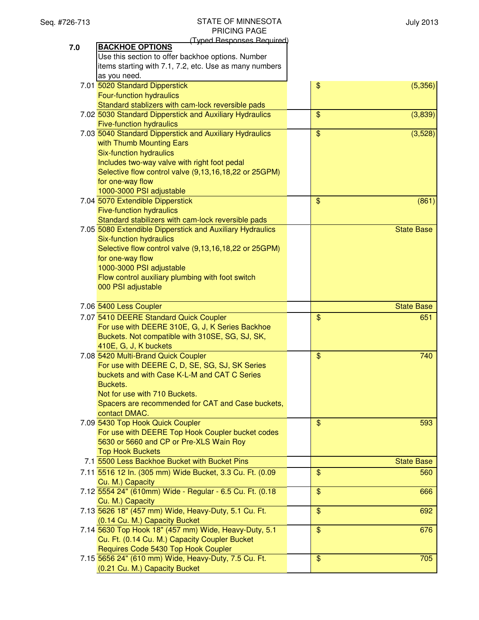July 2013

|     | (Typed Responses Required)                                         |                |                   |
|-----|--------------------------------------------------------------------|----------------|-------------------|
| 7.0 | <b>BACKHOE OPTIONS</b>                                             |                |                   |
|     | Use this section to offer backhoe options. Number                  |                |                   |
|     | items starting with 7.1, 7.2, etc. Use as many numbers             |                |                   |
|     | as you need.                                                       |                |                   |
|     | 7.01 5020 Standard Dipperstick                                     | \$             | (5,356)           |
|     | <b>Four-function hydraulics</b>                                    |                |                   |
|     | Standard stablizers with cam-lock reversible pads                  |                |                   |
|     | 7.02 5030 Standard Dipperstick and Auxiliary Hydraulics            | \$             | (3,839)           |
|     | <b>Five-function hydraulics</b>                                    |                |                   |
|     | 7.03 5040 Standard Dipperstick and Auxiliary Hydraulics            | \$             | (3,528)           |
|     | with Thumb Mounting Ears                                           |                |                   |
|     | Six-function hydraulics                                            |                |                   |
|     | Includes two-way valve with right foot pedal                       |                |                   |
|     | Selective flow control valve (9,13,16,18,22 or 25GPM)              |                |                   |
|     | for one-way flow                                                   |                |                   |
|     | 1000-3000 PSI adjustable<br>7.04 5070 Extendible Dipperstick       | \$             | (861)             |
|     | <b>Five-function hydraulics</b>                                    |                |                   |
|     | Standard stabilizers with cam-lock reversible pads                 |                |                   |
|     | 7.05 5080 Extendible Dipperstick and Auxiliary Hydraulics          |                | <b>State Base</b> |
|     | Six-function hydraulics                                            |                |                   |
|     | Selective flow control valve (9,13,16,18,22 or 25GPM)              |                |                   |
|     | for one-way flow                                                   |                |                   |
|     | 1000-3000 PSI adjustable                                           |                |                   |
|     | Flow control auxiliary plumbing with foot switch                   |                |                   |
|     | 000 PSI adjustable                                                 |                |                   |
|     |                                                                    |                |                   |
|     | 7.06 5400 Less Coupler                                             |                | <b>State Base</b> |
|     | 7.07 5410 DEERE Standard Quick Coupler                             | \$             | 651               |
|     | For use with DEERE 310E, G, J, K Series Backhoe                    |                |                   |
|     | Buckets. Not compatible with 310SE, SG, SJ, SK,                    |                |                   |
|     | 410E, G, J, K buckets                                              |                |                   |
|     | 7.08 5420 Multi-Brand Quick Coupler                                | $\mathfrak{S}$ | 740               |
|     | For use with DEERE C, D, SE, SG, SJ, SK Series                     |                |                   |
|     | buckets and with Case K-L-M and CAT C Series                       |                |                   |
|     | Buckets.                                                           |                |                   |
|     | Not for use with 710 Buckets.                                      |                |                   |
|     | Spacers are recommended for CAT and Case buckets,<br>contact DMAC. |                |                   |
|     | 7.09 5430 Top Hook Quick Coupler                                   | $\mathfrak{S}$ | 593               |
|     | For use with DEERE Top Hook Coupler bucket codes                   |                |                   |
|     | 5630 or 5660 and CP or Pre-XLS Wain Roy                            |                |                   |
|     | <b>Top Hook Buckets</b>                                            |                |                   |
|     | 7.1 5500 Less Backhoe Bucket with Bucket Pins                      |                | <b>State Base</b> |
|     | 7.11 5516 12 In. (305 mm) Wide Bucket, 3.3 Cu. Ft. (0.09           | \$             | 560               |
|     | Cu. M.) Capacity                                                   |                |                   |
|     | 7.12 5554 24" (610mm) Wide - Regular - 6.5 Cu. Ft. (0.18           | \$             | 666               |
|     | Cu. M.) Capacity                                                   |                |                   |
|     | 7.13 5626 18" (457 mm) Wide, Heavy-Duty, 5.1 Cu. Ft.               | \$             | 692               |
|     | (0.14 Cu. M.) Capacity Bucket                                      |                |                   |
|     | 7.14 5630 Top Hook 18" (457 mm) Wide, Heavy-Duty, 5.1              | \$             | 676               |
|     | Cu. Ft. (0.14 Cu. M.) Capacity Coupler Bucket                      |                |                   |
|     | Requires Code 5430 Top Hook Coupler                                |                |                   |
|     | 7.15 5656 24" (610 mm) Wide, Heavy-Duty, 7.5 Cu. Ft.               | \$             | 705               |
|     | (0.21 Cu. M.) Capacity Bucket                                      |                |                   |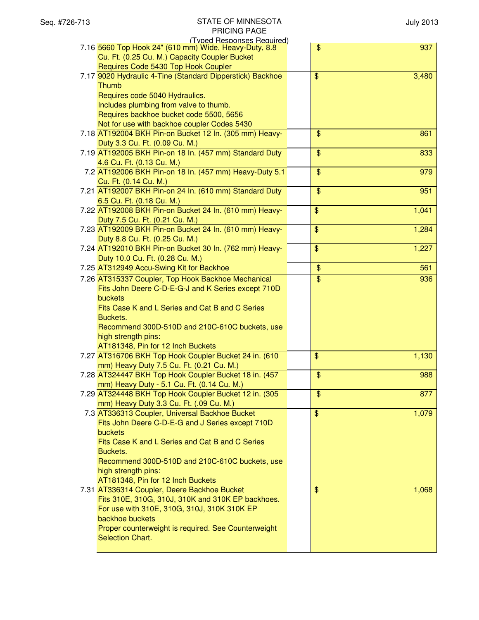| (Typed Responses Required)                                                                          |                          |       |
|-----------------------------------------------------------------------------------------------------|--------------------------|-------|
| 7.16 5660 Top Hook 24" (610 mm) Wide, Heavy-Duty, 8.8                                               | \$                       | 937   |
| Cu. Ft. (0.25 Cu. M.) Capacity Coupler Bucket                                                       |                          |       |
| Requires Code 5430 Top Hook Coupler                                                                 |                          |       |
| 7.17 9020 Hydraulic 4-Tine (Standard Dipperstick) Backhoe                                           | $\overline{\mathcal{S}}$ | 3,480 |
| Thumb                                                                                               |                          |       |
| Requires code 5040 Hydraulics.                                                                      |                          |       |
| Includes plumbing from valve to thumb.                                                              |                          |       |
| Requires backhoe bucket code 5500, 5656                                                             |                          |       |
| Not for use with backhoe coupler Codes 5430                                                         |                          |       |
| 7.18 AT192004 BKH Pin-on Bucket 12 In. (305 mm) Heavy-                                              | \$                       | 861   |
| Duty 3.3 Cu. Ft. (0.09 Cu. M.)                                                                      |                          |       |
| 7.19 AT192005 BKH Pin-on 18 In. (457 mm) Standard Duty                                              | \$                       | 833   |
| 4.6 Cu. Ft. (0.13 Cu. M.)                                                                           |                          |       |
| 7.2 AT192006 BKH Pin-on 18 In. (457 mm) Heavy-Duty 5.1                                              | \$                       | 979   |
| Cu. Ft. (0.14 Cu. M.)                                                                               |                          |       |
| 7.21 AT192007 BKH Pin-on 24 In. (610 mm) Standard Duty                                              | \$                       | 951   |
| 6.5 Cu. Ft. (0.18 Cu. M.)                                                                           |                          |       |
| 7.22 AT192008 BKH Pin-on Bucket 24 In. (610 mm) Heavy-                                              | \$                       | 1,041 |
| Duty 7.5 Cu. Ft. (0.21 Cu. M.)                                                                      |                          |       |
| 7.23 AT192009 BKH Pin-on Bucket 24 In. (610 mm) Heavy-                                              | \$                       | 1,284 |
|                                                                                                     |                          |       |
| Duty 8.8 Cu. Ft. (0.25 Cu. M.)                                                                      |                          |       |
| 7.24 AT192010 BKH Pin-on Bucket 30 In. (762 mm) Heavy-                                              | \$                       | 1,227 |
| Duty 10.0 Cu. Ft. (0.28 Cu. M.)                                                                     |                          |       |
| 7.25 AT312949 Accu-Swing Kit for Backhoe                                                            | \$                       | 561   |
| 7.26 AT315337 Coupler, Top Hook Backhoe Mechanical                                                  | \$                       | 936   |
| Fits John Deere C-D-E-G-J and K Series except 710D                                                  |                          |       |
| buckets                                                                                             |                          |       |
| Fits Case K and L Series and Cat B and C Series                                                     |                          |       |
|                                                                                                     |                          |       |
| Buckets.                                                                                            |                          |       |
| Recommend 300D-510D and 210C-610C buckets, use                                                      |                          |       |
| high strength pins:                                                                                 |                          |       |
| AT181348, Pin for 12 Inch Buckets                                                                   |                          |       |
| 7.27 AT316706 BKH Top Hook Coupler Bucket 24 in. (610                                               | \$                       | 1,130 |
| mm) Heavy Duty 7.5 Cu. Ft. (0.21 Cu. M.)                                                            |                          |       |
| 7.28 AT324447 BKH Top Hook Coupler Bucket 18 in. (457                                               | \$                       | 988   |
|                                                                                                     |                          |       |
| mm) Heavy Duty - 5.1 Cu. Ft. (0.14 Cu. M.)<br>7.29 AT324448 BKH Top Hook Coupler Bucket 12 in. (305 | \$                       | 877   |
|                                                                                                     |                          |       |
| mm) Heavy Duty 3.3 Cu. Ft. (.09 Cu. M.)                                                             | $\overline{\mathbf{S}}$  | 1,079 |
| 7.3 AT336313 Coupler, Universal Backhoe Bucket<br>Fits John Deere C-D-E-G and J Series except 710D  |                          |       |
| buckets                                                                                             |                          |       |
| Fits Case K and L Series and Cat B and C Series                                                     |                          |       |
|                                                                                                     |                          |       |
| Buckets.                                                                                            |                          |       |
| Recommend 300D-510D and 210C-610C buckets, use                                                      |                          |       |
| high strength pins:                                                                                 |                          |       |
| AT181348, Pin for 12 Inch Buckets                                                                   |                          |       |
| 7.31 AT336314 Coupler, Deere Backhoe Bucket                                                         | $\$\$                    | 1,068 |
| Fits 310E, 310G, 310J, 310K and 310K EP backhoes.                                                   |                          |       |
| For use with 310E, 310G, 310J, 310K 310K EP                                                         |                          |       |
| backhoe buckets                                                                                     |                          |       |
| Proper counterweight is required. See Counterweight<br><b>Selection Chart.</b>                      |                          |       |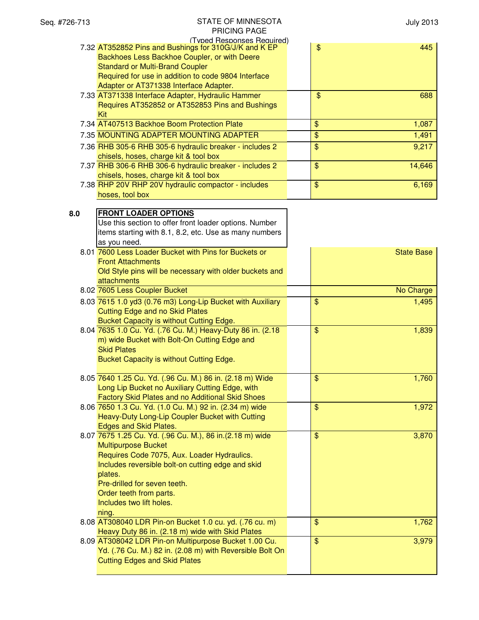|     | FNIUINU FAUL                                                                        |               |                   |
|-----|-------------------------------------------------------------------------------------|---------------|-------------------|
|     | (Typed Responses Required)<br>7.32 AT352852 Pins and Bushings for 310G/J/K and K EP | \$            | 445               |
|     | Backhoes Less Backhoe Coupler, or with Deere                                        |               |                   |
|     |                                                                                     |               |                   |
|     | <b>Standard or Multi-Brand Coupler</b>                                              |               |                   |
|     | Required for use in addition to code 9804 Interface                                 |               |                   |
|     | Adapter or AT371338 Interface Adapter.                                              |               |                   |
|     | 7.33 AT371338 Interface Adapter, Hydraulic Hammer                                   | $\mathbf{\$}$ | 688               |
|     | Requires AT352852 or AT352853 Pins and Bushings                                     |               |                   |
|     | Kit                                                                                 |               |                   |
|     | 7.34 AT407513 Backhoe Boom Protection Plate                                         | \$            | 1,087             |
|     | 7.35 MOUNTING ADAPTER MOUNTING ADAPTER                                              | \$            | 1,491             |
|     | 7.36 RHB 305-6 RHB 305-6 hydraulic breaker - includes 2                             | \$            | 9,217             |
|     | chisels, hoses, charge kit & tool box                                               |               |                   |
|     | 7.37 RHB 306-6 RHB 306-6 hydraulic breaker - includes 2                             | \$            | 14,646            |
|     |                                                                                     |               |                   |
|     | chisels, hoses, charge kit & tool box                                               |               |                   |
|     | 7.38 RHP 20V RHP 20V hydraulic compactor - includes                                 | \$            | 6,169             |
|     | hoses, tool box                                                                     |               |                   |
|     |                                                                                     |               |                   |
| 8.0 | <b>FRONT LOADER OPTIONS</b>                                                         |               |                   |
|     | Use this section to offer front loader options. Number                              |               |                   |
|     | items starting with 8.1, 8.2, etc. Use as many numbers                              |               |                   |
|     | as you need.                                                                        |               |                   |
|     | 8.01 7600 Less Loader Bucket with Pins for Buckets or                               |               | <b>State Base</b> |
|     | <b>Front Attachments</b>                                                            |               |                   |
|     | Old Style pins will be necessary with older buckets and                             |               |                   |
|     | attachments                                                                         |               |                   |
|     | 8.02 7605 Less Coupler Bucket                                                       |               | No Charge         |
|     | 8.03 7615 1.0 yd3 (0.76 m3) Long-Lip Bucket with Auxiliary                          | \$            | 1,495             |
|     | <b>Cutting Edge and no Skid Plates</b>                                              |               |                   |
|     |                                                                                     |               |                   |
|     | Bucket Capacity is without Cutting Edge.                                            |               |                   |
|     | 8.04 7635 1.0 Cu. Yd. (.76 Cu. M.) Heavy-Duty 86 in. (2.18                          | \$            | 1,839             |
|     | m) wide Bucket with Bolt-On Cutting Edge and                                        |               |                   |
|     | <b>Skid Plates</b>                                                                  |               |                   |
|     | Bucket Capacity is without Cutting Edge.                                            |               |                   |
|     |                                                                                     |               |                   |
|     | 8.05 7640 1.25 Cu. Yd. (.96 Cu. M.) 86 in. (2.18 m) Wide                            | \$            | 1,760             |
|     | Long Lip Bucket no Auxiliary Cutting Edge, with                                     |               |                   |
|     | Factory Skid Plates and no Additional Skid Shoes                                    |               |                   |
|     | 8.06 7650 1.3 Cu. Yd. (1.0 Cu. M.) 92 in. (2.34 m) wide                             | \$            | 1,972             |
|     | Heavy-Duty Long-Lip Coupler Bucket with Cutting                                     |               |                   |
|     | Edges and Skid Plates.                                                              |               |                   |
|     | 8.07 7675 1.25 Cu. Yd. (.96 Cu. M.), 86 in. (2.18 m) wide                           | \$            | 3,870             |
|     | <b>Multipurpose Bucket</b>                                                          |               |                   |
|     | Requires Code 7075, Aux. Loader Hydraulics.                                         |               |                   |
|     | Includes reversible bolt-on cutting edge and skid                                   |               |                   |
|     | plates.                                                                             |               |                   |
|     | Pre-drilled for seven teeth.                                                        |               |                   |
|     | Order teeth from parts.                                                             |               |                   |
|     |                                                                                     |               |                   |
|     | Includes two lift holes.                                                            |               |                   |
|     | ning.                                                                               |               |                   |
|     | 8.08 AT308040 LDR Pin-on Bucket 1.0 cu. yd. (.76 cu. m)                             | \$            | 1,762             |
|     | Heavy Duty 86 in. (2.18 m) wide with Skid Plates                                    |               |                   |
|     | 8.09 AT308042 LDR Pin-on Multipurpose Bucket 1.00 Cu.                               | \$            | 3,979             |
|     | Yd. (.76 Cu. M.) 82 in. (2.08 m) with Reversible Bolt On                            |               |                   |
|     | <b>Cutting Edges and Skid Plates</b>                                                |               |                   |
|     |                                                                                     |               |                   |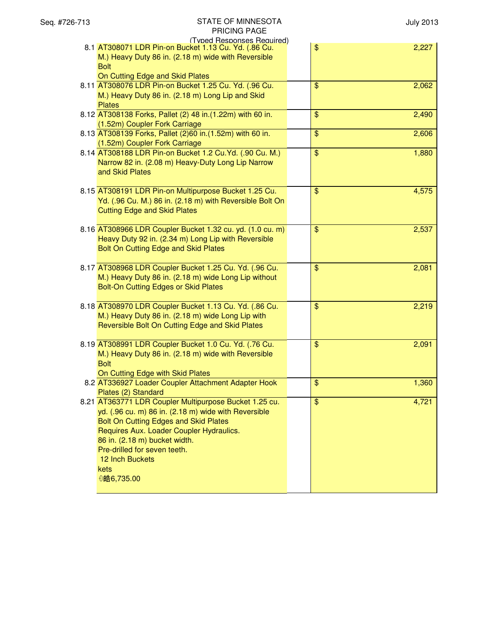| Seq. #726-713 | STATE OF MINNESOTA                                        |                         | <b>July 2013</b> |
|---------------|-----------------------------------------------------------|-------------------------|------------------|
|               | PRICING PAGE                                              |                         |                  |
|               | (Typed Responses Required)                                |                         |                  |
|               | 8.1 AT308071 LDR Pin-on Bucket 1.13 Cu. Yd. (.86 Cu.      | \$                      | 2,227            |
|               | M.) Heavy Duty 86 in. (2.18 m) wide with Reversible       |                         |                  |
|               | <b>Bolt</b>                                               |                         |                  |
|               | On Cutting Edge and Skid Plates                           |                         |                  |
|               | 8.11 AT308076 LDR Pin-on Bucket 1.25 Cu. Yd. (.96 Cu.     | $\$\$                   | 2,062            |
|               | M.) Heavy Duty 86 in. (2.18 m) Long Lip and Skid          |                         |                  |
|               | <b>Plates</b>                                             |                         |                  |
|               | 8.12 AT308138 Forks, Pallet (2) 48 in.(1.22m) with 60 in. | $\$\$                   | 2,490            |
|               | (1.52m) Coupler Fork Carriage                             |                         |                  |
|               | 8.13 AT308139 Forks, Pallet (2)60 in.(1.52m) with 60 in.  | $\frac{1}{2}$           | 2,606            |
|               | (1.52m) Coupler Fork Carriage                             |                         |                  |
|               | 8.14 AT308188 LDR Pin-on Bucket 1.2 Cu.Yd. (.90 Cu. M.)   | $\overline{\mathbf{S}}$ | 1,880            |
|               | Narrow 82 in. (2.08 m) Heavy-Duty Long Lip Narrow         |                         |                  |
|               | and Skid Plates                                           |                         |                  |
|               |                                                           |                         |                  |
|               | 8.15 AT308191 LDR Pin-on Multipurpose Bucket 1.25 Cu.     | $\$\$                   | 4,575            |
|               | Yd. (.96 Cu. M.) 86 in. (2.18 m) with Reversible Bolt On  |                         |                  |
|               | <b>Cutting Edge and Skid Plates</b>                       |                         |                  |
|               |                                                           |                         |                  |
|               | 8.16 AT308966 LDR Coupler Bucket 1.32 cu. yd. (1.0 cu. m) | $\$\$                   | 2,537            |
|               | Heavy Duty 92 in. (2.34 m) Long Lip with Reversible       |                         |                  |
|               | Bolt On Cutting Edge and Skid Plates                      |                         |                  |
|               |                                                           |                         |                  |
|               | 8.17 AT308968 LDR Coupler Bucket 1.25 Cu. Yd. (.96 Cu.    | $\frac{1}{2}$           | 2,081            |
|               | M.) Heavy Duty 86 in. (2.18 m) wide Long Lip without      |                         |                  |
|               | Bolt-On Cutting Edges or Skid Plates                      |                         |                  |
|               |                                                           |                         |                  |
|               | 8.18 AT308970 LDR Coupler Bucket 1.13 Cu. Yd. (.86 Cu.    | $\$\$                   | 2,219            |
|               | M.) Heavy Duty 86 in. (2.18 m) wide Long Lip with         |                         |                  |
|               | Reversible Bolt On Cutting Edge and Skid Plates           |                         |                  |
|               |                                                           |                         |                  |
|               | 8.19 AT308991 LDR Coupler Bucket 1.0 Cu. Yd. (.76 Cu.     | $\frac{1}{2}$           | 2,091            |
|               | M.) Heavy Duty 86 in. (2.18 m) wide with Reversible       |                         |                  |
|               |                                                           |                         |                  |
|               | <b>Bolt</b>                                               |                         |                  |
|               | On Cutting Edge with Skid Plates                          |                         |                  |
|               | 8.2 AT336927 Loader Coupler Attachment Adapter Hook       | $\frac{1}{2}$           | 1,360            |
|               | Plates (2) Standard                                       |                         |                  |
|               | 8.21 AT363771 LDR Coupler Multipurpose Bucket 1.25 cu.    | $\overline{\mathbf{S}}$ | 4,721            |
|               | yd. (.96 cu. m) 86 in. (2.18 m) wide with Reversible      |                         |                  |
|               | Bolt On Cutting Edges and Skid Plates                     |                         |                  |
|               | Requires Aux. Loader Coupler Hydraulics.                  |                         |                  |
|               | 86 in. (2.18 m) bucket width.                             |                         |                  |
|               | Pre-drilled for seven teeth.                              |                         |                  |
|               | <b>12 Inch Buckets</b>                                    |                         |                  |
|               | kets                                                      |                         |                  |
|               | 0皓6,735.00                                                |                         |                  |
|               |                                                           |                         |                  |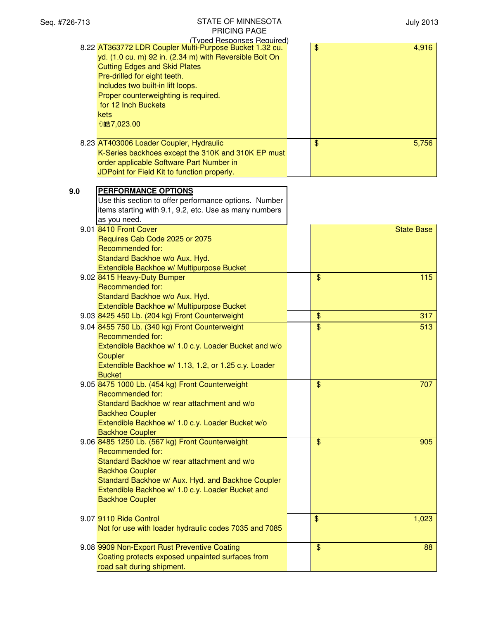| Seq. #726-713 | <b>STATE OF MINNESOTA</b><br><b>PRICING PAGE</b>                                                                                                                                                                                                                                                                                                   |                          | <b>July 2013</b>  |
|---------------|----------------------------------------------------------------------------------------------------------------------------------------------------------------------------------------------------------------------------------------------------------------------------------------------------------------------------------------------------|--------------------------|-------------------|
|               | (Typed Responses Required)<br>8.22 AT363772 LDR Coupler Multi-Purpose Bucket 1.32 cu.<br>yd. (1.0 cu. m) 92 in. (2.34 m) with Reversible Bolt On<br><b>Cutting Edges and Skid Plates</b><br>Pre-drilled for eight teeth.<br>Includes two built-in lift loops.<br>Proper counterweighting is required.<br>for 12 Inch Buckets<br>kets<br>0皓7,023.00 | $\frac{1}{2}$            | 4,916             |
|               | 8.23 AT403006 Loader Coupler, Hydraulic<br>K-Series backhoes except the 310K and 310K EP must<br>order applicable Software Part Number in<br>JDPoint for Field Kit to function properly.                                                                                                                                                           | $\$\$                    | 5,756             |
| 9.0           | <b>PERFORMANCE OPTIONS</b><br>Use this section to offer performance options. Number<br>items starting with 9.1, 9.2, etc. Use as many numbers<br>as you need.                                                                                                                                                                                      |                          |                   |
|               | 9.01 8410 Front Cover<br>Requires Cab Code 2025 or 2075<br><b>Recommended for:</b><br>Standard Backhoe w/o Aux. Hyd.<br>Extendible Backhoe w/ Multipurpose Bucket                                                                                                                                                                                  |                          | <b>State Base</b> |
|               | 9.02 8415 Heavy-Duty Bumper<br>Recommended for:<br>Standard Backhoe w/o Aux. Hyd.<br>Extendible Backhoe w/ Multipurpose Bucket                                                                                                                                                                                                                     | \$                       | 115               |
|               | 9.03 8425 450 Lb. (204 kg) Front Counterweight                                                                                                                                                                                                                                                                                                     | \$                       | 317               |
|               | 9.04 8455 750 Lb. (340 kg) Front Counterweight<br>Recommended for:<br>Extendible Backhoe w/ 1.0 c.y. Loader Bucket and w/o<br>Coupler<br>Extendible Backhoe w/ 1.13, 1.2, or 1.25 c.y. Loader<br><b>Bucket</b>                                                                                                                                     | \$                       | 513               |
|               | 9.05 8475 1000 Lb. (454 kg) Front Counterweight<br><b>Recommended for:</b><br>Standard Backhoe w/ rear attachment and w/o<br><b>Backheo Coupler</b><br>Extendible Backhoe w/ 1.0 c.y. Loader Bucket w/o<br><b>Backhoe Coupler</b>                                                                                                                  | $\overline{\mathcal{S}}$ | 707               |
|               | 9.06 8485 1250 Lb. (567 kg) Front Counterweight<br>Recommended for:<br>Standard Backhoe w/ rear attachment and w/o<br><b>Backhoe Coupler</b><br>Standard Backhoe w/ Aux. Hyd. and Backhoe Coupler<br>Extendible Backhoe w/ 1.0 c.y. Loader Bucket and<br><b>Backhoe Coupler</b>                                                                    | $\$\$                    | 905               |
|               | 9.07 9110 Ride Control<br>Not for use with loader hydraulic codes 7035 and 7085                                                                                                                                                                                                                                                                    | $\$\$                    | 1,023             |
|               | 9.08 9909 Non-Export Rust Preventive Coating<br>Coating protects exposed unpainted surfaces from<br>road salt during shipment.                                                                                                                                                                                                                     | \$                       | 88                |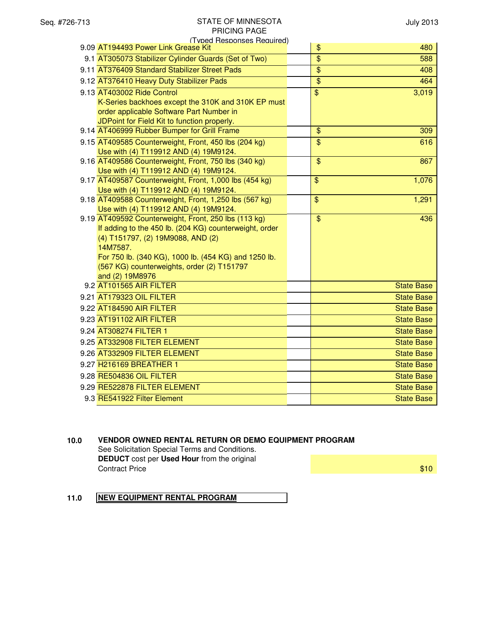| (Typed Responses Required)<br>9.09 AT194493 Power Link Grease Kit                               | \$<br>480                       |
|-------------------------------------------------------------------------------------------------|---------------------------------|
| 9.1 AT305073 Stabilizer Cylinder Guards (Set of Two)                                            | $\overline{\$}$<br>588          |
| 9.11 AT376409 Standard Stabilizer Street Pads                                                   | $\overline{\$}$<br>408          |
| 9.12 AT376410 Heavy Duty Stabilizer Pads                                                        | $\overline{\mathcal{S}}$<br>464 |
| 9.13 AT403002 Ride Control                                                                      | $\mathfrak{S}$                  |
| K-Series backhoes except the 310K and 310K EP must                                              | 3,019                           |
| order applicable Software Part Number in                                                        |                                 |
| JDPoint for Field Kit to function properly.                                                     |                                 |
| 9.14 AT406999 Rubber Bumper for Grill Frame                                                     | $\frac{1}{2}$<br>309            |
| 9.15 AT409585 Counterweight, Front, 450 lbs (204 kg)                                            | $\overline{\mathbf{e}}$<br>616  |
| Use with (4) T119912 AND (4) 19M9124.                                                           |                                 |
| 9.16 AT409586 Counterweight, Front, 750 lbs (340 kg)                                            | $\mathfrak{S}$<br>867           |
| Use with (4) T119912 AND (4) 19M9124.                                                           |                                 |
| 9.17 AT409587 Counterweight, Front, 1,000 lbs (454 kg)                                          | \$<br>1,076                     |
| Use with (4) T119912 AND (4) 19M9124.                                                           | $\mathfrak{S}$<br>1,291         |
| 9.18 AT409588 Counterweight, Front, 1,250 lbs (567 kg)<br>Use with (4) T119912 AND (4) 19M9124. |                                 |
| 9.19 AT409592 Counterweight, Front, 250 lbs (113 kg)                                            | $\mathfrak{S}$<br>436           |
| If adding to the 450 lb. (204 KG) counterweight, order                                          |                                 |
| (4) T151797, (2) 19M9088, AND (2)                                                               |                                 |
| 14M7587.                                                                                        |                                 |
| For 750 lb. (340 KG), 1000 lb. (454 KG) and 1250 lb.                                            |                                 |
| (567 KG) counterweights, order (2) T151797                                                      |                                 |
| and (2) 19M8976                                                                                 |                                 |
| 9.2 AT101565 AIR FILTER                                                                         | <b>State Base</b>               |
| 9.21 AT179323 OIL FILTER                                                                        | <b>State Base</b>               |
| 9.22 AT184590 AIR FILTER                                                                        | <b>State Base</b>               |
| 9.23 AT191102 AIR FILTER                                                                        | <b>State Base</b>               |
| 9.24 AT308274 FILTER 1                                                                          | <b>State Base</b>               |
| 9.25 AT332908 FILTER ELEMENT                                                                    | <b>State Base</b>               |
| 9.26 AT332909 FILTER ELEMENT                                                                    | <b>State Base</b>               |
| 9.27 H216169 BREATHER 1                                                                         | <b>State Base</b>               |
| 9.28 RE504836 OIL FILTER                                                                        | <b>State Base</b>               |
| 9.29 RE522878 FILTER ELEMENT                                                                    | <b>State Base</b>               |
| 9.3 RE541922 Filter Element                                                                     | <b>State Base</b>               |
|                                                                                                 |                                 |

# **10.0 VENDOR OWNED RENTAL RETURN OR DEMO EQUIPMENT PROGRAM**

See Solicitation Special Terms and Conditions. **DEDUCT** cost per **Used Hour** from the original **Contract Price 6 and 200 and 200 and 200 and 200 and 200 and 200 and 200 and 200 and 200 and 200 and 200 and 200 and 200 and 200 and 200 and 200 and 200 and 200 and 200 and 200 and 200 and 200 and 200 and 200 and 200 and** 

# **11.0 NEW EQUIPMENT RENTAL PROGRAM**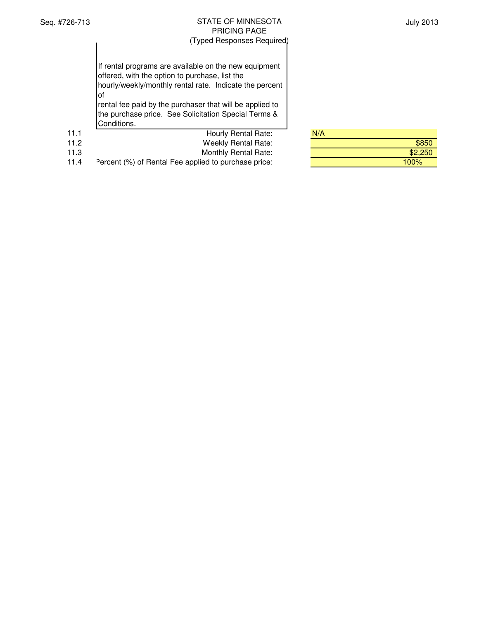July 2013

|      | If rental programs are available on the new equipment<br>offered, with the option to purchase, list the<br>hourly/weekly/monthly rental rate. Indicate the percent<br>l of<br>rental fee paid by the purchaser that will be applied to<br>the purchase price. See Solicitation Special Terms &<br>Conditions. |     |
|------|---------------------------------------------------------------------------------------------------------------------------------------------------------------------------------------------------------------------------------------------------------------------------------------------------------------|-----|
| 11.1 | Hourly Rental Rate:                                                                                                                                                                                                                                                                                           | N/A |
|      |                                                                                                                                                                                                                                                                                                               |     |

| 11.2 | Weekly Rental Rate: | \$850 |
|------|---------------------|-------|
|      |                     |       |

11.3 Monthly Rental Rate:<br>11.4 Percent (%) of Rental Fee applied to purchase price:

Percent (%) of Rental Fee applied to purchase price: 100% 100%

| N/A |         |
|-----|---------|
|     | \$850   |
|     | \$2,250 |
|     |         |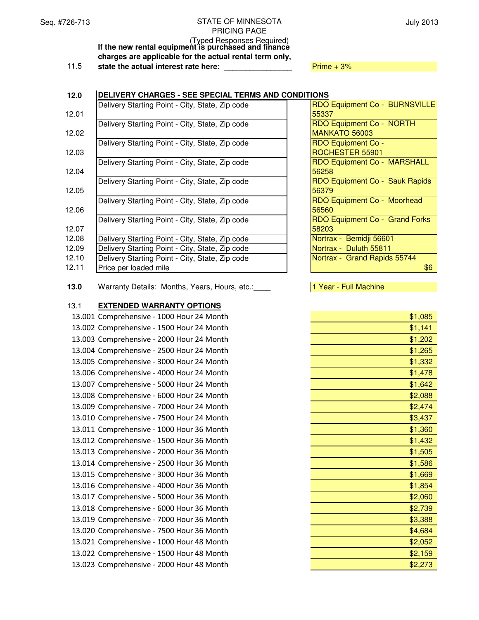(Typed Responses Required) **If the new rental equipment is purchased and finance charges are applicable for the actual rental term only,** 11.5 **state the actual interest rate here:**  $\frac{1}{2}$  Prime + 3%

## **12.0 DELIVERY CHARGES - SEE SPECIAL TERMS AND CONDITIONS**

|       | Delivery Starting Point - City, State, Zip code | RDO Equipment Co - BURNSVILLE  |
|-------|-------------------------------------------------|--------------------------------|
| 12.01 |                                                 | 55337                          |
|       | Delivery Starting Point - City, State, Zip code | RDO Equipment Co - NORTH       |
| 12.02 |                                                 | MANKATO 56003                  |
|       | Delivery Starting Point - City, State, Zip code | <b>RDO Equipment Co -</b>      |
| 12.03 |                                                 | ROCHESTER 55901                |
|       | Delivery Starting Point - City, State, Zip code | RDO Equipment Co - MARSHALL    |
| 12.04 |                                                 | 56258                          |
|       | Delivery Starting Point - City, State, Zip code | RDO Equipment Co - Sauk Rapids |
| 12.05 |                                                 | 56379                          |
|       | Delivery Starting Point - City, State, Zip code | RDO Equipment Co - Moorhead    |
| 12.06 |                                                 | 56560                          |
|       | Delivery Starting Point - City, State, Zip code | RDO Equipment Co - Grand Forks |
| 12.07 |                                                 | 58203                          |
| 12.08 | Delivery Starting Point - City, State, Zip code | Nortrax - Bemidji 56601        |
| 12.09 | Delivery Starting Point - City, State, Zip code | Nortrax - Duluth 55811         |
| 12.10 | Delivery Starting Point - City, State, Zip code | Nortrax - Grand Rapids 55744   |
| 12.11 | Price per loaded mile                           | \$6                            |

| RDO Equipment Co - BURNSVILLE      |
|------------------------------------|
| 55337                              |
| RDO Equipment Co - NORTH           |
| MANKATO 56003                      |
| <b>RDO Equipment Co -</b>          |
| ROCHESTER 55901                    |
| <b>RDO Equipment Co - MARSHALL</b> |
| 56258                              |
| RDO Equipment Co - Sauk Rapids     |
| 56379                              |
| RDO Equipment Co - Moorhead        |
| 56560                              |
| RDO Equipment Co - Grand Forks     |
| 58203                              |
| Nortrax - Bemidji 56601            |
| Nortrax - Duluth 55811             |
| Nortrax - Grand Rapids 55744       |
| \$6                                |

**13.0** Warranty Details: Months, Years, Hours, etc.:\_\_\_\_ 1 Year - Full Machine

# 13.1 **EXTENDED WARRANTY OPTIONS**

| 13.001 Comprehensive - 1000 Hour 24 Month | \$1,085 |
|-------------------------------------------|---------|
| 13.002 Comprehensive - 1500 Hour 24 Month | \$1,141 |
| 13.003 Comprehensive - 2000 Hour 24 Month | \$1,202 |
| 13.004 Comprehensive - 2500 Hour 24 Month | \$1,265 |
| 13.005 Comprehensive - 3000 Hour 24 Month | \$1,332 |
| 13.006 Comprehensive - 4000 Hour 24 Month | \$1,478 |
| 13.007 Comprehensive - 5000 Hour 24 Month | \$1,642 |
| 13.008 Comprehensive - 6000 Hour 24 Month | \$2,088 |
| 13.009 Comprehensive - 7000 Hour 24 Month | \$2,474 |
| 13.010 Comprehensive - 7500 Hour 24 Month | \$3,437 |
| 13.011 Comprehensive - 1000 Hour 36 Month | \$1,360 |
| 13.012 Comprehensive - 1500 Hour 36 Month | \$1,432 |
| 13.013 Comprehensive - 2000 Hour 36 Month | \$1,505 |
| 13.014 Comprehensive - 2500 Hour 36 Month | \$1,586 |
| 13.015 Comprehensive - 3000 Hour 36 Month | \$1,669 |
| 13.016 Comprehensive - 4000 Hour 36 Month | \$1,854 |
| 13.017 Comprehensive - 5000 Hour 36 Month | \$2,060 |
| 13.018 Comprehensive - 6000 Hour 36 Month | \$2,739 |
| 13.019 Comprehensive - 7000 Hour 36 Month | \$3,388 |
| 13.020 Comprehensive - 7500 Hour 36 Month | \$4,684 |
| 13.021 Comprehensive - 1000 Hour 48 Month | \$2,052 |
| 13.022 Comprehensive - 1500 Hour 48 Month | \$2,159 |
| 13.023 Comprehensive - 2000 Hour 48 Month | \$2,273 |

| \$1,141<br>\$1,202<br>\$1,265<br>\$1,332<br>\$1,478<br>\$1,642<br>\$2,088<br>\$2,474<br>\$3,437<br>\$1,360<br>\$1,432<br>\$1,505<br>\$1,586<br>\$1,669<br>\$1,854<br>\$2,060<br>\$2,739<br>\$3,388<br>\$4,684<br>\$2,052<br>\$2,159<br>\$2,273 | \$1,085 |
|------------------------------------------------------------------------------------------------------------------------------------------------------------------------------------------------------------------------------------------------|---------|
|                                                                                                                                                                                                                                                |         |
|                                                                                                                                                                                                                                                |         |
|                                                                                                                                                                                                                                                |         |
|                                                                                                                                                                                                                                                |         |
|                                                                                                                                                                                                                                                |         |
|                                                                                                                                                                                                                                                |         |
|                                                                                                                                                                                                                                                |         |
|                                                                                                                                                                                                                                                |         |
|                                                                                                                                                                                                                                                |         |
|                                                                                                                                                                                                                                                |         |
|                                                                                                                                                                                                                                                |         |
|                                                                                                                                                                                                                                                |         |
|                                                                                                                                                                                                                                                |         |
|                                                                                                                                                                                                                                                |         |
|                                                                                                                                                                                                                                                |         |
|                                                                                                                                                                                                                                                |         |
|                                                                                                                                                                                                                                                |         |
|                                                                                                                                                                                                                                                |         |
|                                                                                                                                                                                                                                                |         |
|                                                                                                                                                                                                                                                |         |
|                                                                                                                                                                                                                                                |         |
|                                                                                                                                                                                                                                                |         |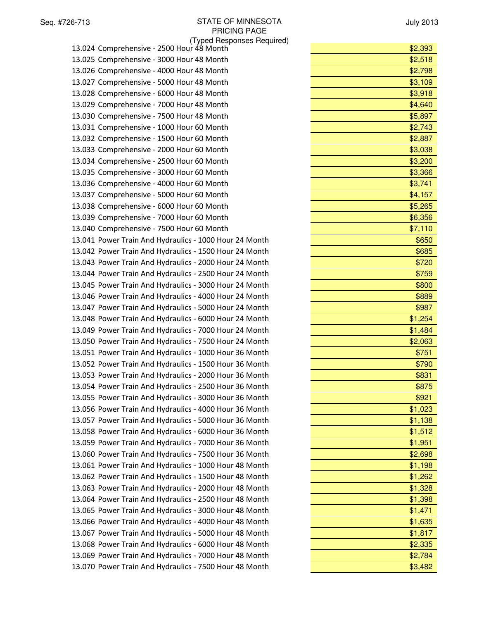(Typed Responses Required)

| 13.025 Comprehensive - 3000 Hour 48 Month              | \$2,518 |
|--------------------------------------------------------|---------|
| 13.026 Comprehensive - 4000 Hour 48 Month              | \$2,798 |
| 13.027 Comprehensive - 5000 Hour 48 Month              | \$3,109 |
| 13.028 Comprehensive - 6000 Hour 48 Month              | \$3,918 |
| 13.029 Comprehensive - 7000 Hour 48 Month              | \$4,640 |
| 13.030 Comprehensive - 7500 Hour 48 Month              | \$5,897 |
| 13.031 Comprehensive - 1000 Hour 60 Month              | \$2,743 |
| 13.032 Comprehensive - 1500 Hour 60 Month              | \$2,887 |
| 13.033 Comprehensive - 2000 Hour 60 Month              | \$3,038 |
| 13.034 Comprehensive - 2500 Hour 60 Month              | \$3,200 |
| 13.035 Comprehensive - 3000 Hour 60 Month              | \$3,366 |
| 13.036 Comprehensive - 4000 Hour 60 Month              | \$3,741 |
| 13.037 Comprehensive - 5000 Hour 60 Month              | \$4,157 |
| 13.038 Comprehensive - 6000 Hour 60 Month              | \$5,265 |
| 13.039 Comprehensive - 7000 Hour 60 Month              | \$6,356 |
| 13.040 Comprehensive - 7500 Hour 60 Month              | \$7,110 |
| 13.041 Power Train And Hydraulics - 1000 Hour 24 Month | \$650   |
| 13.042 Power Train And Hydraulics - 1500 Hour 24 Month | \$685   |
| 13.043 Power Train And Hydraulics - 2000 Hour 24 Month | \$720   |
| 13.044 Power Train And Hydraulics - 2500 Hour 24 Month | \$759   |
| 13.045 Power Train And Hydraulics - 3000 Hour 24 Month | \$800   |
| 13.046 Power Train And Hydraulics - 4000 Hour 24 Month | \$889   |
| 13.047 Power Train And Hydraulics - 5000 Hour 24 Month | \$987   |
| 13.048 Power Train And Hydraulics - 6000 Hour 24 Month | \$1,254 |
| 13.049 Power Train And Hydraulics - 7000 Hour 24 Month | \$1,484 |
| 13.050 Power Train And Hydraulics - 7500 Hour 24 Month | \$2,063 |
| 13.051 Power Train And Hydraulics - 1000 Hour 36 Month | \$751   |
| 13.052 Power Train And Hydraulics - 1500 Hour 36 Month | \$790   |
| 13.053 Power Train And Hydraulics - 2000 Hour 36 Month | \$831   |
| 13.054 Power Train And Hydraulics - 2500 Hour 36 Month | \$875   |
| 13.055 Power Train And Hydraulics - 3000 Hour 36 Month | \$921   |
| 13.056 Power Train And Hydraulics - 4000 Hour 36 Month | \$1,023 |
| 13.057 Power Train And Hydraulics - 5000 Hour 36 Month | \$1,138 |
| 13.058 Power Train And Hydraulics - 6000 Hour 36 Month | \$1,512 |
| 13.059 Power Train And Hydraulics - 7000 Hour 36 Month | \$1,951 |
| 13.060 Power Train And Hydraulics - 7500 Hour 36 Month | \$2,698 |
| 13.061 Power Train And Hydraulics - 1000 Hour 48 Month | \$1,198 |
| 13.062 Power Train And Hydraulics - 1500 Hour 48 Month | \$1,262 |
| 13.063 Power Train And Hydraulics - 2000 Hour 48 Month | \$1,328 |
| 13.064 Power Train And Hydraulics - 2500 Hour 48 Month | \$1,398 |
| 13.065 Power Train And Hydraulics - 3000 Hour 48 Month | \$1,471 |
| 13.066 Power Train And Hydraulics - 4000 Hour 48 Month | \$1,635 |
| 13.067 Power Train And Hydraulics - 5000 Hour 48 Month | \$1,817 |
| 13.068 Power Train And Hydraulics - 6000 Hour 48 Month | \$2,335 |
| 13.069 Power Train And Hydraulics - 7000 Hour 48 Month | \$2,784 |
| 13.070 Power Train And Hydraulics - 7500 Hour 48 Month | \$3,482 |

| (Typed Responses Required)                             |         |
|--------------------------------------------------------|---------|
| 13.024 Comprehensive - 2500 Hour 48 Month              | \$2,393 |
| 13.025 Comprehensive - 3000 Hour 48 Month              | \$2,518 |
| 13.026 Comprehensive - 4000 Hour 48 Month              | \$2,798 |
| 13.027 Comprehensive - 5000 Hour 48 Month              | \$3,109 |
| 13.028 Comprehensive - 6000 Hour 48 Month              | \$3,918 |
| 13.029 Comprehensive - 7000 Hour 48 Month              | \$4,640 |
| 13.030 Comprehensive - 7500 Hour 48 Month              | \$5,897 |
| 13.031 Comprehensive - 1000 Hour 60 Month              | \$2,743 |
| 13.032 Comprehensive - 1500 Hour 60 Month              | \$2,887 |
| 13.033 Comprehensive - 2000 Hour 60 Month              | \$3,038 |
| 13.034 Comprehensive - 2500 Hour 60 Month              | \$3,200 |
| 13.035 Comprehensive - 3000 Hour 60 Month              | \$3,366 |
| 13.036 Comprehensive - 4000 Hour 60 Month              | \$3,741 |
| 13.037 Comprehensive - 5000 Hour 60 Month              | \$4,157 |
| 13.038 Comprehensive - 6000 Hour 60 Month              | \$5,265 |
| 13.039 Comprehensive - 7000 Hour 60 Month              | \$6,356 |
| 13.040 Comprehensive - 7500 Hour 60 Month              | \$7,110 |
| 13.041 Power Train And Hydraulics - 1000 Hour 24 Month | \$650   |
| 13.042 Power Train And Hydraulics - 1500 Hour 24 Month | \$685   |
| 13.043 Power Train And Hydraulics - 2000 Hour 24 Month | \$720   |
| 13.044 Power Train And Hydraulics - 2500 Hour 24 Month | \$759   |
| 13.045 Power Train And Hydraulics - 3000 Hour 24 Month | \$800   |
| 13.046 Power Train And Hydraulics - 4000 Hour 24 Month | \$889   |
| 13.047 Power Train And Hydraulics - 5000 Hour 24 Month | \$987   |
| 13.048 Power Train And Hydraulics - 6000 Hour 24 Month | \$1,254 |
| 13.049 Power Train And Hydraulics - 7000 Hour 24 Month | \$1,484 |
| 13.050 Power Train And Hydraulics - 7500 Hour 24 Month | \$2,063 |
| 13.051 Power Train And Hydraulics - 1000 Hour 36 Month | \$751   |
| 13.052 Power Train And Hydraulics - 1500 Hour 36 Month | \$790   |
| 13.053 Power Train And Hydraulics - 2000 Hour 36 Month | \$831   |
| 13.054 Power Train And Hydraulics - 2500 Hour 36 Month | \$875   |
| 13.055 Power Train And Hydraulics - 3000 Hour 36 Month | \$921   |
| 13.056 Power Train And Hydraulics - 4000 Hour 36 Month | \$1,023 |
| 13.057 Power Train And Hydraulics - 5000 Hour 36 Month | \$1,138 |
| 13.058 Power Train And Hydraulics - 6000 Hour 36 Month | \$1,512 |
| 13.059 Power Train And Hydraulics - 7000 Hour 36 Month | \$1,951 |
| 13.060 Power Train And Hydraulics - 7500 Hour 36 Month | \$2,698 |
| 13.061 Power Train And Hydraulics - 1000 Hour 48 Month | \$1,198 |
| 13.062 Power Train And Hydraulics - 1500 Hour 48 Month | \$1,262 |
| 13.063 Power Train And Hydraulics - 2000 Hour 48 Month | \$1,328 |
| 13.064 Power Train And Hydraulics - 2500 Hour 48 Month | \$1,398 |
| 13.065 Power Train And Hydraulics - 3000 Hour 48 Month | \$1,471 |
| 13.066 Power Train And Hydraulics - 4000 Hour 48 Month | \$1,635 |
| 13.067 Power Train And Hydraulics - 5000 Hour 48 Month | \$1,817 |
| 13.068 Power Train And Hydraulics - 6000 Hour 48 Month | \$2,335 |
| 13.069 Power Train And Hydraulics - 7000 Hour 48 Month | \$2,784 |
| 13.070 Power Train And Hydraulics - 7500 Hour 48 Month | \$3,482 |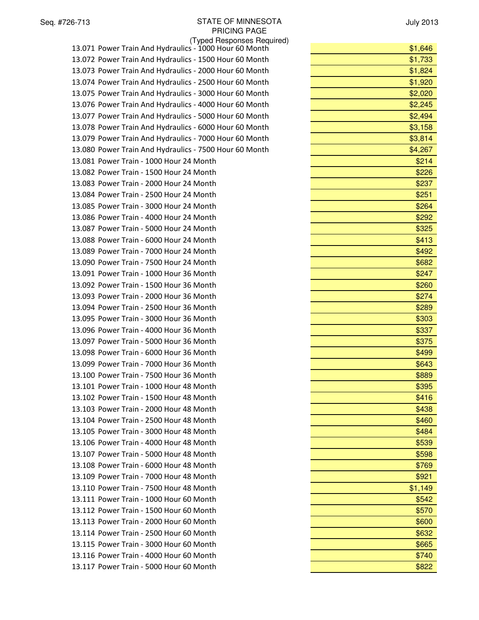July 2013

(Typed Responses Required) 13.071 Power Train And Hydraulics - 1000 Hour 60 Month 13.072 Power Train And Hydraulics - 1500 Hour 60 Month 13.073 Power Train And Hydraulics - 2000 Hour 60 Month 13.074 Power Train And Hydraulics - 2500 Hour 60 Month 13.075 Power Train And Hydraulics - 3000 Hour 60 Month 13.076 Power Train And Hydraulics - 4000 Hour 60 Month 13.077 Power Train And Hydraulics - 5000 Hour 60 Month 13.078 Power Train And Hydraulics - 6000 Hour 60 Month 13.079 Power Train And Hydraulics - 7000 Hour 60 Month 13.080 Power Train And Hydraulics - 7500 Hour 60 Month 13.081 Power Train - 1000 Hour 24 Month 13.082 Power Train - 1500 Hour 24 Month 13.083 Power Train - 2000 Hour 24 Month 13.084 Power Train - 2500 Hour 24 Month 13.085 Power Train - 3000 Hour 24 Month 13.086 Power Train - 4000 Hour 24 Month \$292 13.087 Power Train - 5000 Hour 24 Month 13.088 Power Train - 6000 Hour 24 Month \$413 13.089 Power Train - 7000 Hour 24 Month 13.090 Power Train - 7500 Hour 24 Month 13.091 Power Train - 1000 Hour 36 Month 13.092 Power Train - 1500 Hour 36 Month 13.093 Power Train - 2000 Hour 36 Month 13.094 Power Train - 2500 Hour 36 Month 13.095 Power Train - 3000 Hour 36 Month 13.096 Power Train - 4000 Hour 36 Month 13.097 Power Train - 5000 Hour 36 Month 13.098 Power Train - 6000 Hour 36 Month 13.099 Power Train - 7000 Hour 36 Month 13.100 Power Train - 7500 Hour 36 Month 13.101 Power Train - 1000 Hour 48 Month 13.102 Power Train - 1500 Hour 48 Month \$416 13.103 Power Train - 2000 Hour 48 Month 13.104 Power Train - 2500 Hour 48 Month \$460 13.105 Power Train - 3000 Hour 48 Month \$484 13.106 Power Train - 4000 Hour 48 Month 13.107 Power Train - 5000 Hour 48 Month 13.108 Power Train - 6000 Hour 48 Month 13.109 Power Train - 7000 Hour 48 Month 13.110 Power Train - 7500 Hour 48 Month 13.111 Power Train - 1000 Hour 60 Month 13.112 Power Train - 1500 Hour 60 Month 13.113 Power Train - 2000 Hour 60 Month 13.114 Power Train - 2500 Hour 60 Month 13.115 Power Train - 3000 Hour 60 Month 13.116 Power Train - 4000 Hour 60 Month 13.117 Power Train - 5000 Hour 60 Month

| \$1,646 |
|---------|
| \$1,733 |
| \$1,824 |
| \$1,920 |
| \$2,020 |
| \$2,245 |
| \$2,494 |
| \$3,158 |
| \$3,814 |
| \$4,267 |
| \$214   |
| \$226   |
| \$237   |
| \$251   |
| \$264   |
| \$292   |
| \$325   |
| \$413   |
| \$492   |
| \$682   |
| \$247   |
| \$260   |
| \$274   |
| \$289   |
| \$303   |
| \$337   |
| \$375   |
| \$499   |
| \$643   |
| \$889   |
| \$395   |
| \$416   |
| \$438   |
| \$460   |
| \$484   |
| \$539   |
| \$598   |
| \$769   |
| \$921   |
| \$1,149 |
| \$542   |
| \$570   |
| \$600   |
| \$632   |
| \$665   |
| \$740   |
| \$822   |